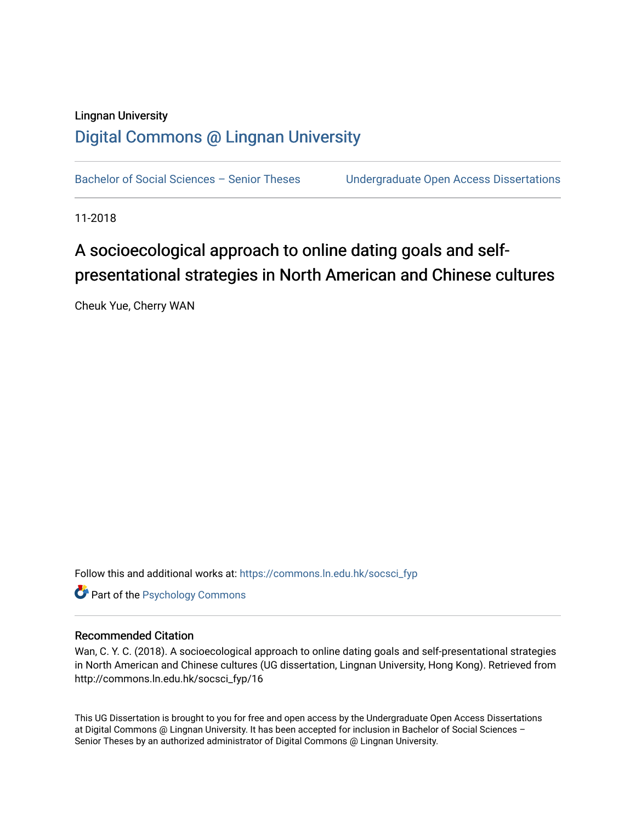## Lingnan University [Digital Commons @ Lingnan University](https://commons.ln.edu.hk/)

Bachelor of Social Sciences - Senior Theses Undergraduate Open Access Dissertations

11-2018

## A socioecological approach to online dating goals and selfpresentational strategies in North American and Chinese cultures

Cheuk Yue, Cherry WAN

Follow this and additional works at: [https://commons.ln.edu.hk/socsci\\_fyp](https://commons.ln.edu.hk/socsci_fyp?utm_source=commons.ln.edu.hk%2Fsocsci_fyp%2F16&utm_medium=PDF&utm_campaign=PDFCoverPages)

**Part of the Psychology Commons** 

#### Recommended Citation

Wan, C. Y. C. (2018). A socioecological approach to online dating goals and self-presentational strategies in North American and Chinese cultures (UG dissertation, Lingnan University, Hong Kong). Retrieved from http://commons.ln.edu.hk/socsci\_fyp/16

This UG Dissertation is brought to you for free and open access by the Undergraduate Open Access Dissertations at Digital Commons @ Lingnan University. It has been accepted for inclusion in Bachelor of Social Sciences – Senior Theses by an authorized administrator of Digital Commons @ Lingnan University.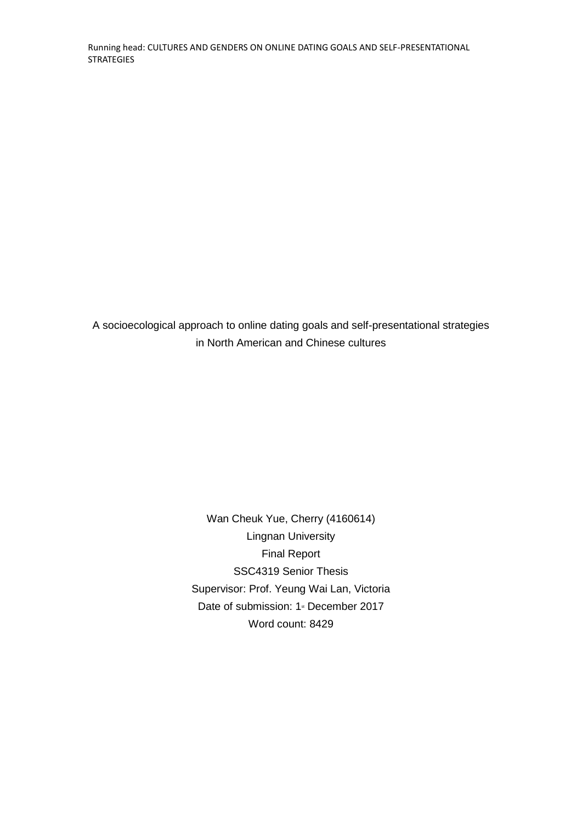Running head: CULTURES AND GENDERS ON ONLINE DATING GOALS AND SELF-PRESENTATIONAL **STRATEGIES** 

A socioecological approach to online dating goals and self-presentational strategies in North American and Chinese cultures

> Wan Cheuk Yue, Cherry (4160614) Lingnan University Final Report SSC4319 Senior Thesis Supervisor: Prof. Yeung Wai Lan, Victoria Date of submission: 1<sup>st</sup> December 2017 Word count: 8429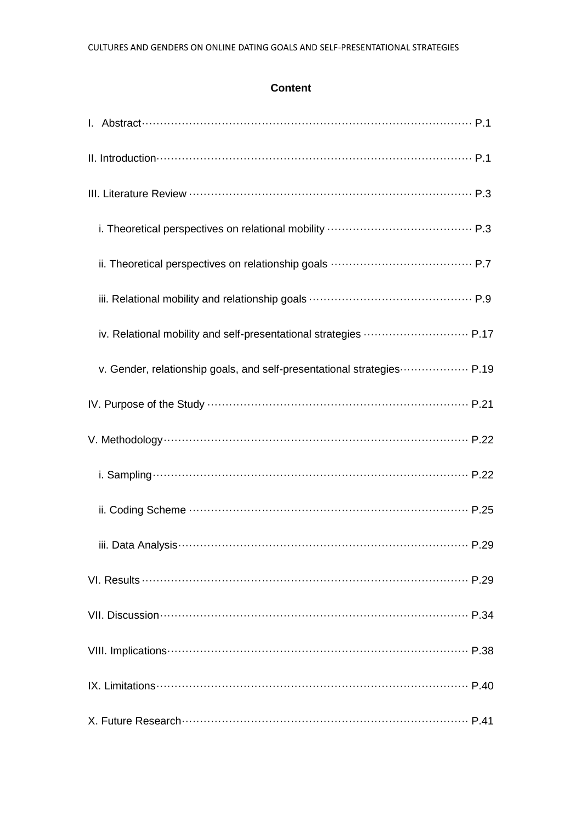#### **Content**

| I. Abstract……………………………………………………………………………… P.1                          |
|------------------------------------------------------------------------|
|                                                                        |
|                                                                        |
|                                                                        |
|                                                                        |
|                                                                        |
| iv. Relational mobility and self-presentational strategies  P.17       |
| v. Gender, relationship goals, and self-presentational strategies P.19 |
|                                                                        |
|                                                                        |
|                                                                        |
|                                                                        |
|                                                                        |
|                                                                        |
|                                                                        |
|                                                                        |
|                                                                        |
|                                                                        |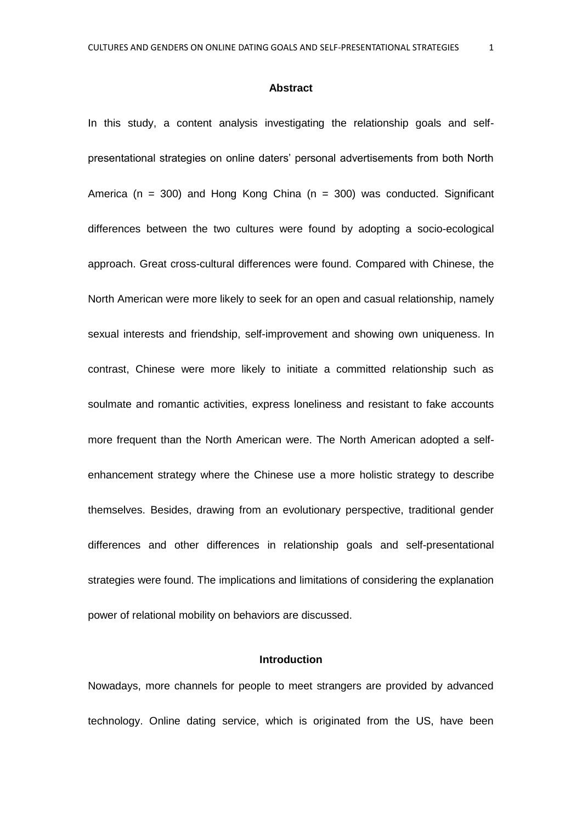#### **Abstract**

In this study, a content analysis investigating the relationship goals and selfpresentational strategies on online daters' personal advertisements from both North America ( $n = 300$ ) and Hong Kong China ( $n = 300$ ) was conducted. Significant differences between the two cultures were found by adopting a socio-ecological approach. Great cross-cultural differences were found. Compared with Chinese, the North American were more likely to seek for an open and casual relationship, namely sexual interests and friendship, self-improvement and showing own uniqueness. In contrast, Chinese were more likely to initiate a committed relationship such as soulmate and romantic activities, express loneliness and resistant to fake accounts more frequent than the North American were. The North American adopted a selfenhancement strategy where the Chinese use a more holistic strategy to describe themselves. Besides, drawing from an evolutionary perspective, traditional gender differences and other differences in relationship goals and self-presentational strategies were found. The implications and limitations of considering the explanation power of relational mobility on behaviors are discussed.

#### **Introduction**

Nowadays, more channels for people to meet strangers are provided by advanced technology. Online dating service, which is originated from the US, have been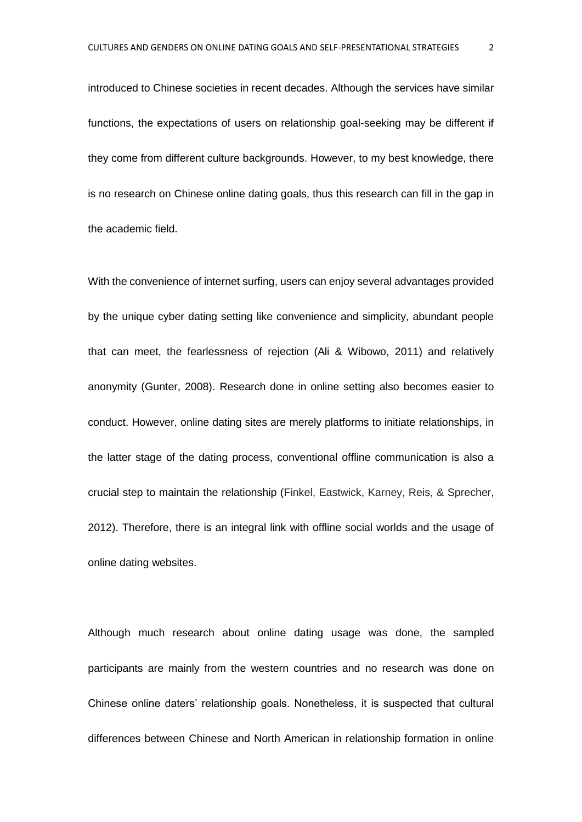introduced to Chinese societies in recent decades. Although the services have similar functions, the expectations of users on relationship goal-seeking may be different if they come from different culture backgrounds. However, to my best knowledge, there is no research on Chinese online dating goals, thus this research can fill in the gap in the academic field.

With the convenience of internet surfing, users can enjoy several advantages provided by the unique cyber dating setting like convenience and simplicity, abundant people that can meet, the fearlessness of rejection (Ali & Wibowo, 2011) and relatively anonymity (Gunter, 2008). Research done in online setting also becomes easier to conduct. However, online dating sites are merely platforms to initiate relationships, in the latter stage of the dating process, conventional offline communication is also a crucial step to maintain the relationship (Finkel, Eastwick, Karney, Reis, & Sprecher, 2012). Therefore, there is an integral link with offline social worlds and the usage of online dating websites.

Although much research about online dating usage was done, the sampled participants are mainly from the western countries and no research was done on Chinese online daters' relationship goals. Nonetheless, it is suspected that cultural differences between Chinese and North American in relationship formation in online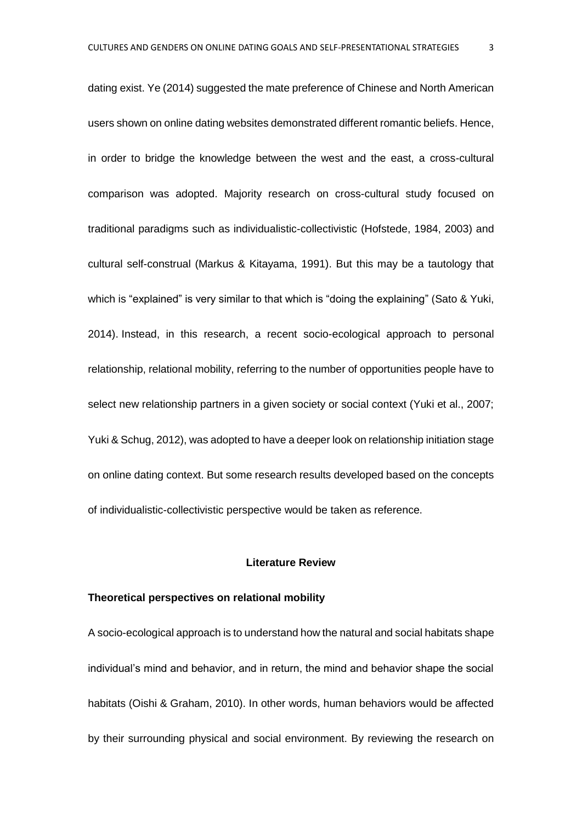dating exist. Ye (2014) suggested the mate preference of Chinese and North American users shown on online dating websites demonstrated different romantic beliefs. Hence, in order to bridge the knowledge between the west and the east, a cross-cultural comparison was adopted. Majority research on cross-cultural study focused on traditional paradigms such as individualistic-collectivistic (Hofstede, 1984, 2003) and cultural self-construal (Markus & Kitayama, 1991). But this may be a tautology that which is "explained" is very similar to that which is "doing the explaining" (Sato & Yuki, 2014). Instead, in this research, a recent socio-ecological approach to personal relationship, relational mobility, referring to the number of opportunities people have to select new relationship partners in a given society or social context (Yuki et al., 2007; Yuki & Schug, 2012), was adopted to have a deeper look on relationship initiation stage on online dating context. But some research results developed based on the concepts of individualistic-collectivistic perspective would be taken as reference.

#### **Literature Review**

#### **Theoretical perspectives on relational mobility**

A socio-ecological approach is to understand how the natural and social habitats shape individual's mind and behavior, and in return, the mind and behavior shape the social habitats (Oishi & Graham, 2010). In other words, human behaviors would be affected by their surrounding physical and social environment. By reviewing the research on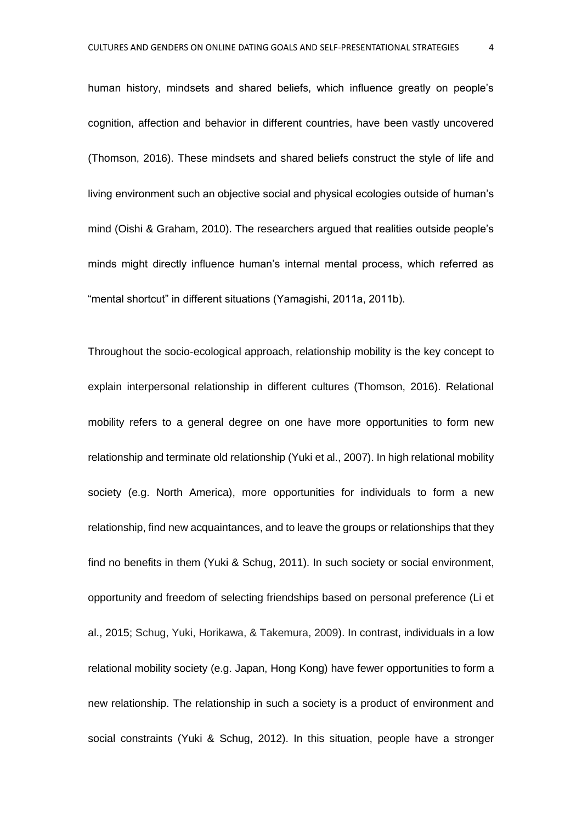human history, mindsets and shared beliefs, which influence greatly on people's cognition, affection and behavior in different countries, have been vastly uncovered (Thomson, 2016). These mindsets and shared beliefs construct the style of life and living environment such an objective social and physical ecologies outside of human's mind (Oishi & Graham, 2010). The researchers argued that realities outside people's minds might directly influence human's internal mental process, which referred as "mental shortcut" in different situations (Yamagishi, 2011a, 2011b).

Throughout the socio-ecological approach, relationship mobility is the key concept to explain interpersonal relationship in different cultures (Thomson, 2016). Relational mobility refers to a general degree on one have more opportunities to form new relationship and terminate old relationship (Yuki et al., 2007). In high relational mobility society (e.g. North America), more opportunities for individuals to form a new relationship, find new acquaintances, and to leave the groups or relationships that they find no benefits in them (Yuki & Schug, 2011). In such society or social environment, opportunity and freedom of selecting friendships based on personal preference (Li et al., 2015; Schug, Yuki, Horikawa, & Takemura, 2009). In contrast, individuals in a low relational mobility society (e.g. Japan, Hong Kong) have fewer opportunities to form a new relationship. The relationship in such a society is a product of environment and social constraints (Yuki & Schug, 2012). In this situation, people have a stronger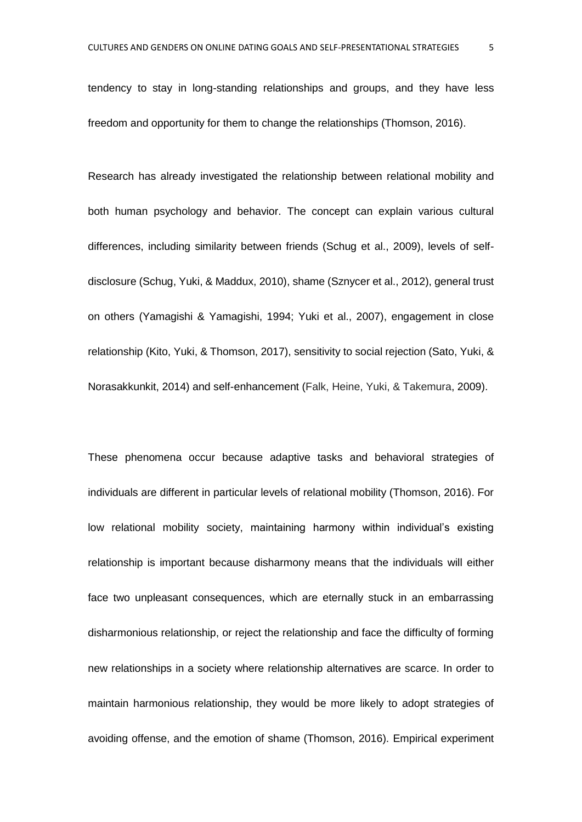tendency to stay in long-standing relationships and groups, and they have less freedom and opportunity for them to change the relationships (Thomson, 2016).

Research has already investigated the relationship between relational mobility and both human psychology and behavior. The concept can explain various cultural differences, including similarity between friends (Schug et al., 2009), levels of selfdisclosure (Schug, Yuki, & Maddux, 2010), shame (Sznycer et al., 2012), general trust on others (Yamagishi & Yamagishi, 1994; Yuki et al., 2007), engagement in close relationship (Kito, Yuki, & Thomson, 2017), sensitivity to social rejection (Sato, Yuki, & Norasakkunkit, 2014) and self-enhancement (Falk, Heine, Yuki, & Takemura, 2009).

These phenomena occur because adaptive tasks and behavioral strategies of individuals are different in particular levels of relational mobility (Thomson, 2016). For low relational mobility society, maintaining harmony within individual's existing relationship is important because disharmony means that the individuals will either face two unpleasant consequences, which are eternally stuck in an embarrassing disharmonious relationship, or reject the relationship and face the difficulty of forming new relationships in a society where relationship alternatives are scarce. In order to maintain harmonious relationship, they would be more likely to adopt strategies of avoiding offense, and the emotion of shame (Thomson, 2016). Empirical experiment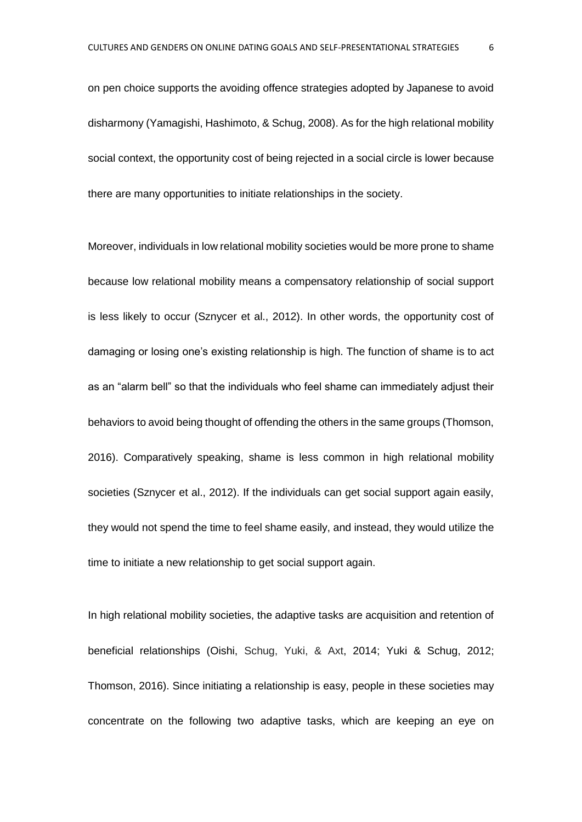on pen choice supports the avoiding offence strategies adopted by Japanese to avoid disharmony (Yamagishi, Hashimoto, & Schug, 2008). As for the high relational mobility social context, the opportunity cost of being rejected in a social circle is lower because there are many opportunities to initiate relationships in the society.

Moreover, individuals in low relational mobility societies would be more prone to shame because low relational mobility means a compensatory relationship of social support is less likely to occur (Sznycer et al., 2012). In other words, the opportunity cost of damaging or losing one's existing relationship is high. The function of shame is to act as an "alarm bell" so that the individuals who feel shame can immediately adjust their behaviors to avoid being thought of offending the others in the same groups (Thomson, 2016). Comparatively speaking, shame is less common in high relational mobility societies (Sznycer et al., 2012). If the individuals can get social support again easily, they would not spend the time to feel shame easily, and instead, they would utilize the time to initiate a new relationship to get social support again.

In high relational mobility societies, the adaptive tasks are acquisition and retention of beneficial relationships (Oishi, Schug, Yuki, & Axt, 2014; Yuki & Schug, 2012; Thomson, 2016). Since initiating a relationship is easy, people in these societies may concentrate on the following two adaptive tasks, which are keeping an eye on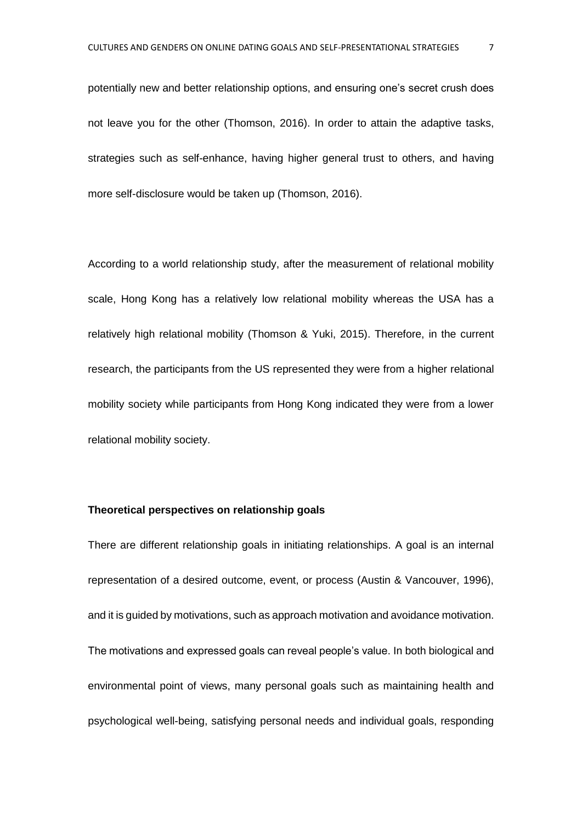potentially new and better relationship options, and ensuring one's secret crush does not leave you for the other (Thomson, 2016). In order to attain the adaptive tasks, strategies such as self-enhance, having higher general trust to others, and having more self-disclosure would be taken up (Thomson, 2016).

According to a world relationship study, after the measurement of relational mobility scale, Hong Kong has a relatively low relational mobility whereas the USA has a relatively high relational mobility (Thomson & Yuki, 2015). Therefore, in the current research, the participants from the US represented they were from a higher relational mobility society while participants from Hong Kong indicated they were from a lower relational mobility society.

#### **Theoretical perspectives on relationship goals**

There are different relationship goals in initiating relationships. A goal is an internal representation of a desired outcome, event, or process (Austin & Vancouver, 1996), and it is guided by motivations, such as approach motivation and avoidance motivation. The motivations and expressed goals can reveal people's value. In both biological and environmental point of views, many personal goals such as maintaining health and psychological well-being, satisfying personal needs and individual goals, responding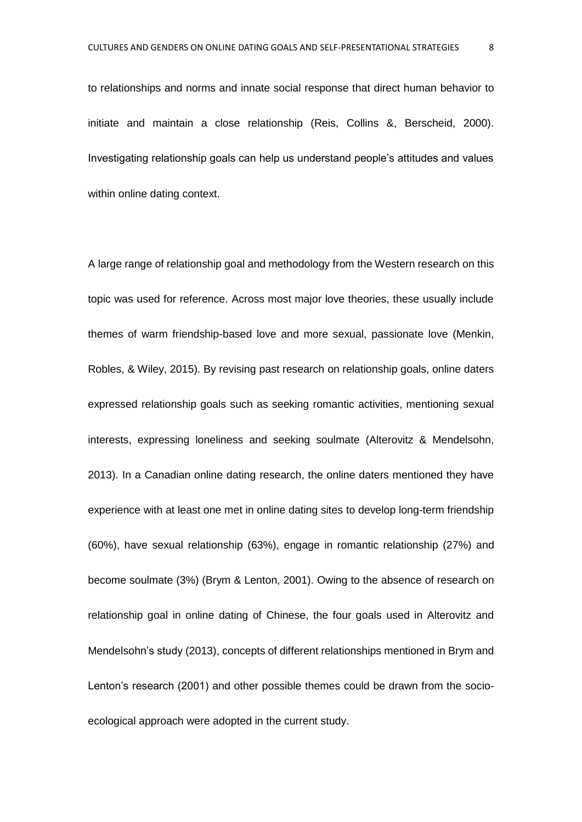to relationships and norms and innate social response that direct human behavior to initiate and maintain a close relationship (Reis, Collins &, Berscheid, 2000). Investigating relationship goals can help us understand people's attitudes and values within online dating context.

A large range of relationship goal and methodology from the Western research on this topic was used for reference. Across most major love theories, these usually include themes of warm friendship-based love and more sexual, passionate love (Menkin, Robles, & Wiley, 2015). By revising past research on relationship goals, online daters expressed relationship goals such as seeking romantic activities, mentioning sexual interests, expressing loneliness and seeking soulmate (Alterovitz & Mendelsohn, 2013). In a Canadian online dating research, the online daters mentioned they have experience with at least one met in online dating sites to develop long-term friendship (60%), have sexual relationship (63%), engage in romantic relationship (27%) and become soulmate (3%) (Brym & Lenton, 2001). Owing to the absence of research on relationship goal in online dating of Chinese, the four goals used in Alterovitz and Mendelsohn's study (2013), concepts of different relationships mentioned in Brym and Lenton's research (2001) and other possible themes could be drawn from the socioecological approach were adopted in the current study.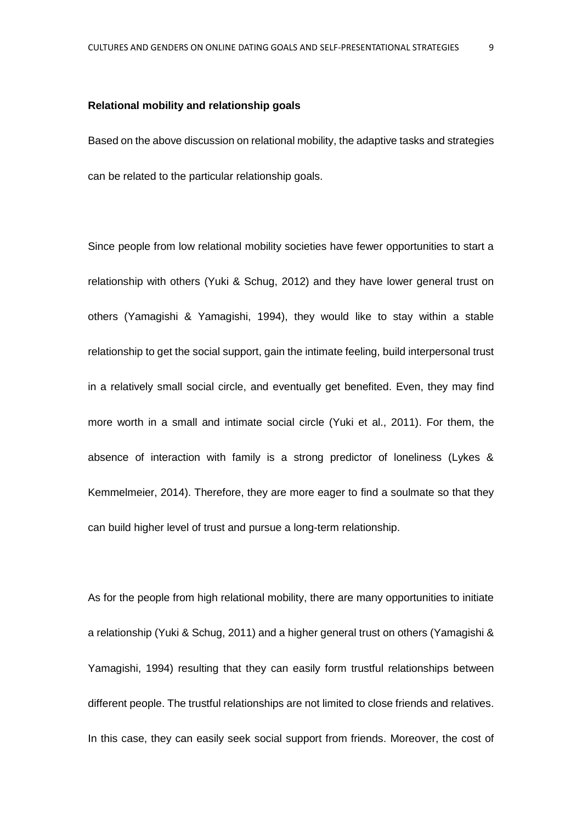#### **Relational mobility and relationship goals**

Based on the above discussion on relational mobility, the adaptive tasks and strategies can be related to the particular relationship goals.

Since people from low relational mobility societies have fewer opportunities to start a relationship with others (Yuki & Schug, 2012) and they have lower general trust on others (Yamagishi & Yamagishi, 1994), they would like to stay within a stable relationship to get the social support, gain the intimate feeling, build interpersonal trust in a relatively small social circle, and eventually get benefited. Even, they may find more worth in a small and intimate social circle (Yuki et al., 2011). For them, the absence of interaction with family is a strong predictor of loneliness (Lykes & Kemmelmeier, 2014). Therefore, they are more eager to find a soulmate so that they can build higher level of trust and pursue a long-term relationship.

As for the people from high relational mobility, there are many opportunities to initiate a relationship (Yuki & Schug, 2011) and a higher general trust on others (Yamagishi & Yamagishi, 1994) resulting that they can easily form trustful relationships between different people. The trustful relationships are not limited to close friends and relatives. In this case, they can easily seek social support from friends. Moreover, the cost of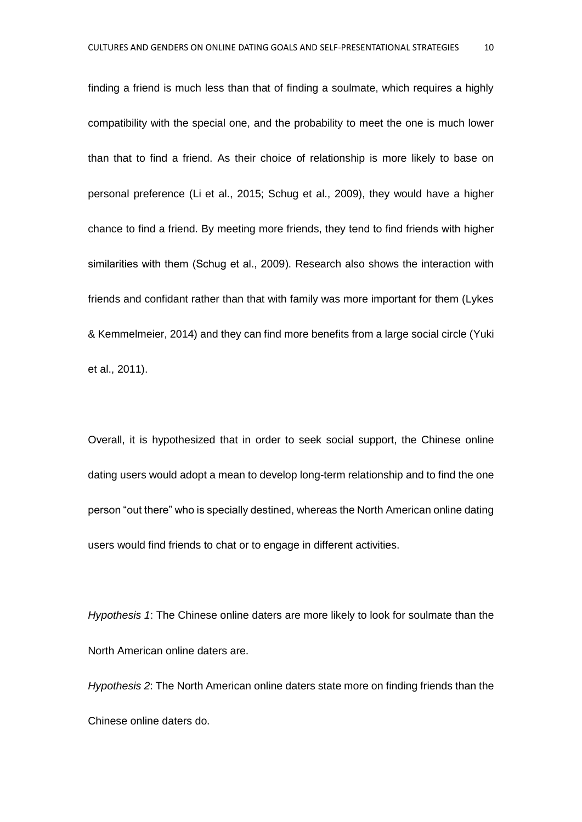finding a friend is much less than that of finding a soulmate, which requires a highly compatibility with the special one, and the probability to meet the one is much lower than that to find a friend. As their choice of relationship is more likely to base on personal preference (Li et al., 2015; Schug et al., 2009), they would have a higher chance to find a friend. By meeting more friends, they tend to find friends with higher similarities with them (Schug et al., 2009). Research also shows the interaction with friends and confidant rather than that with family was more important for them (Lykes & Kemmelmeier, 2014) and they can find more benefits from a large social circle (Yuki et al., 2011).

Overall, it is hypothesized that in order to seek social support, the Chinese online dating users would adopt a mean to develop long-term relationship and to find the one person "out there" who is specially destined, whereas the North American online dating users would find friends to chat or to engage in different activities.

*Hypothesis 1*: The Chinese online daters are more likely to look for soulmate than the North American online daters are.

*Hypothesis 2*: The North American online daters state more on finding friends than the Chinese online daters do.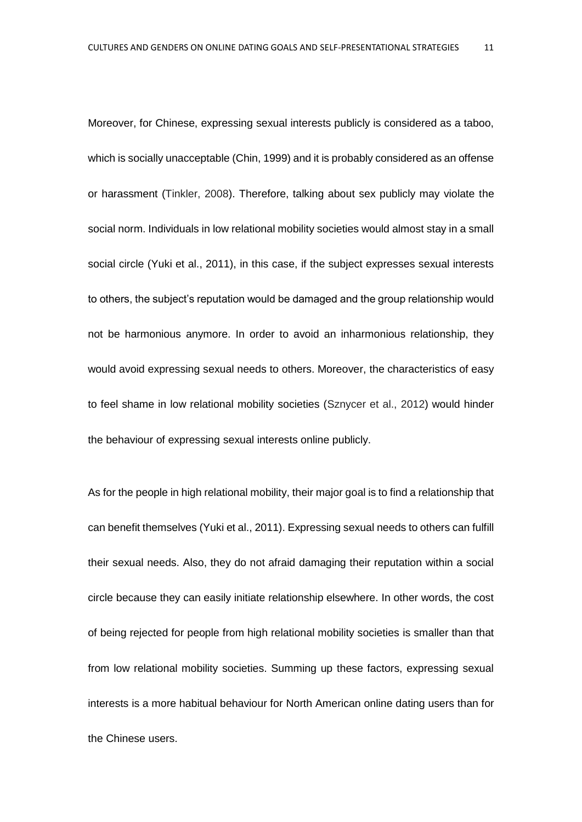Moreover, for Chinese, expressing sexual interests publicly is considered as a taboo, which is socially unacceptable (Chin, 1999) and it is probably considered as an offense or harassment (Tinkler, 2008). Therefore, talking about sex publicly may violate the social norm. Individuals in low relational mobility societies would almost stay in a small social circle (Yuki et al., 2011), in this case, if the subject expresses sexual interests to others, the subject's reputation would be damaged and the group relationship would not be harmonious anymore. In order to avoid an inharmonious relationship, they would avoid expressing sexual needs to others. Moreover, the characteristics of easy to feel shame in low relational mobility societies (Sznycer et al., 2012) would hinder the behaviour of expressing sexual interests online publicly.

As for the people in high relational mobility, their major goal is to find a relationship that can benefit themselves (Yuki et al., 2011). Expressing sexual needs to others can fulfill their sexual needs. Also, they do not afraid damaging their reputation within a social circle because they can easily initiate relationship elsewhere. In other words, the cost of being rejected for people from high relational mobility societies is smaller than that from low relational mobility societies. Summing up these factors, expressing sexual interests is a more habitual behaviour for North American online dating users than for the Chinese users.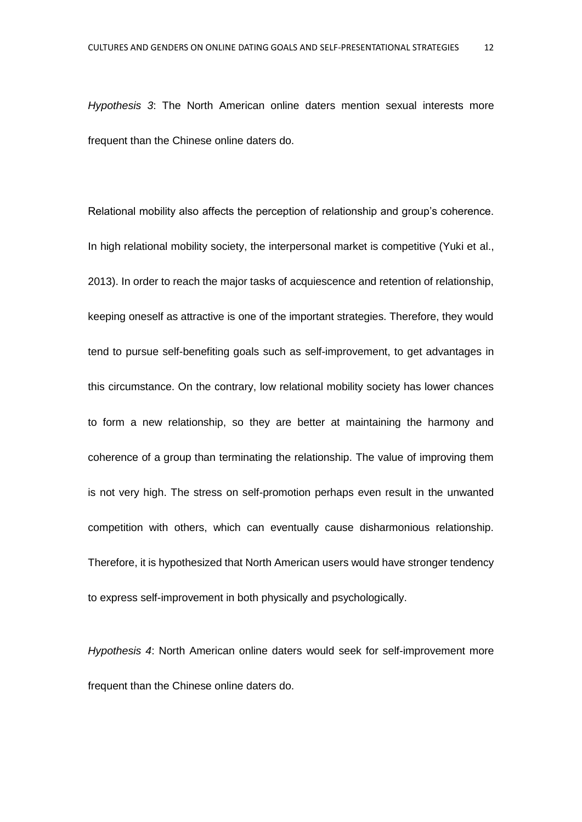*Hypothesis 3*: The North American online daters mention sexual interests more frequent than the Chinese online daters do.

Relational mobility also affects the perception of relationship and group's coherence. In high relational mobility society, the interpersonal market is competitive (Yuki et al., 2013). In order to reach the major tasks of acquiescence and retention of relationship, keeping oneself as attractive is one of the important strategies. Therefore, they would tend to pursue self-benefiting goals such as self-improvement, to get advantages in this circumstance. On the contrary, low relational mobility society has lower chances to form a new relationship, so they are better at maintaining the harmony and coherence of a group than terminating the relationship. The value of improving them is not very high. The stress on self-promotion perhaps even result in the unwanted competition with others, which can eventually cause disharmonious relationship. Therefore, it is hypothesized that North American users would have stronger tendency to express self-improvement in both physically and psychologically.

*Hypothesis 4*: North American online daters would seek for self-improvement more frequent than the Chinese online daters do.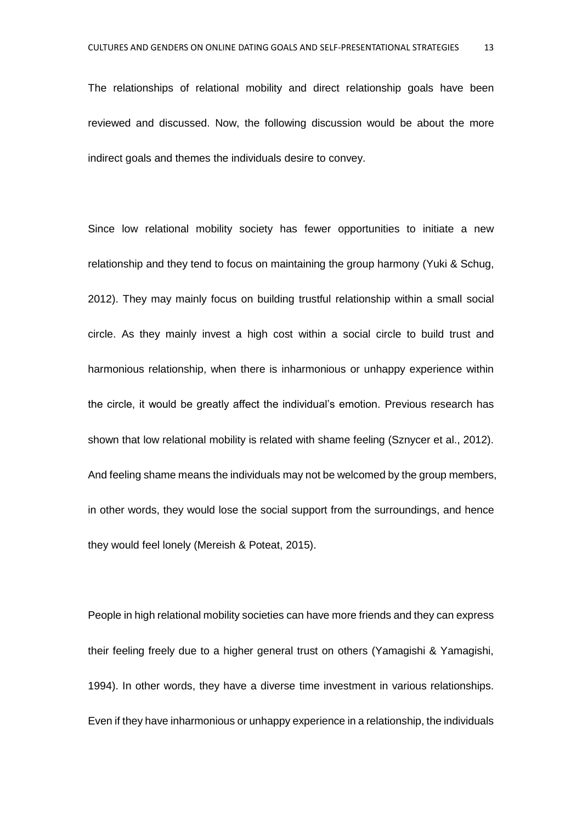The relationships of relational mobility and direct relationship goals have been reviewed and discussed. Now, the following discussion would be about the more indirect goals and themes the individuals desire to convey.

Since low relational mobility society has fewer opportunities to initiate a new relationship and they tend to focus on maintaining the group harmony (Yuki & Schug, 2012). They may mainly focus on building trustful relationship within a small social circle. As they mainly invest a high cost within a social circle to build trust and harmonious relationship, when there is inharmonious or unhappy experience within the circle, it would be greatly affect the individual's emotion. Previous research has shown that low relational mobility is related with shame feeling (Sznycer et al., 2012). And feeling shame means the individuals may not be welcomed by the group members, in other words, they would lose the social support from the surroundings, and hence they would feel lonely (Mereish & Poteat, 2015).

People in high relational mobility societies can have more friends and they can express their feeling freely due to a higher general trust on others (Yamagishi & Yamagishi, 1994). In other words, they have a diverse time investment in various relationships. Even if they have inharmonious or unhappy experience in a relationship, the individuals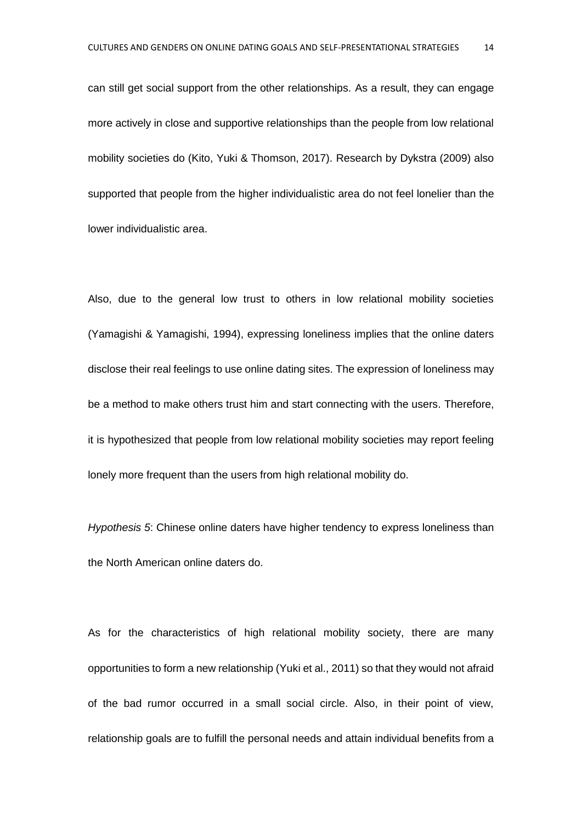can still get social support from the other relationships. As a result, they can engage more actively in close and supportive relationships than the people from low relational mobility societies do (Kito, Yuki & Thomson, 2017). Research by Dykstra (2009) also supported that people from the higher individualistic area do not feel lonelier than the lower individualistic area.

Also, due to the general low trust to others in low relational mobility societies (Yamagishi & Yamagishi, 1994), expressing loneliness implies that the online daters disclose their real feelings to use online dating sites. The expression of loneliness may be a method to make others trust him and start connecting with the users. Therefore, it is hypothesized that people from low relational mobility societies may report feeling lonely more frequent than the users from high relational mobility do.

*Hypothesis 5*: Chinese online daters have higher tendency to express loneliness than the North American online daters do.

As for the characteristics of high relational mobility society, there are many opportunities to form a new relationship (Yuki et al., 2011) so that they would not afraid of the bad rumor occurred in a small social circle. Also, in their point of view, relationship goals are to fulfill the personal needs and attain individual benefits from a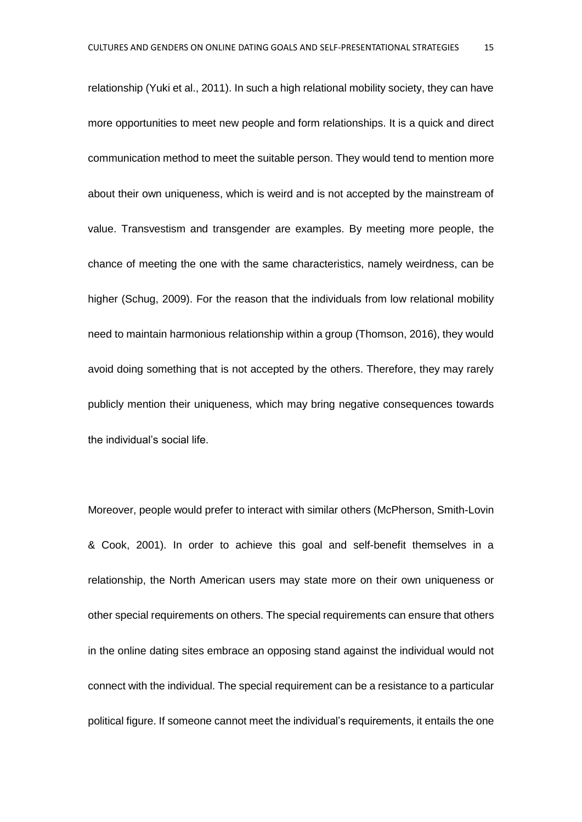relationship (Yuki et al., 2011). In such a high relational mobility society, they can have more opportunities to meet new people and form relationships. It is a quick and direct communication method to meet the suitable person. They would tend to mention more about their own uniqueness, which is weird and is not accepted by the mainstream of value. Transvestism and transgender are examples. By meeting more people, the chance of meeting the one with the same characteristics, namely weirdness, can be higher (Schug, 2009). For the reason that the individuals from low relational mobility need to maintain harmonious relationship within a group (Thomson, 2016), they would avoid doing something that is not accepted by the others. Therefore, they may rarely publicly mention their uniqueness, which may bring negative consequences towards the individual's social life.

Moreover, people would prefer to interact with similar others (McPherson, Smith-Lovin & Cook, 2001). In order to achieve this goal and self-benefit themselves in a relationship, the North American users may state more on their own uniqueness or other special requirements on others. The special requirements can ensure that others in the online dating sites embrace an opposing stand against the individual would not connect with the individual. The special requirement can be a resistance to a particular political figure. If someone cannot meet the individual's requirements, it entails the one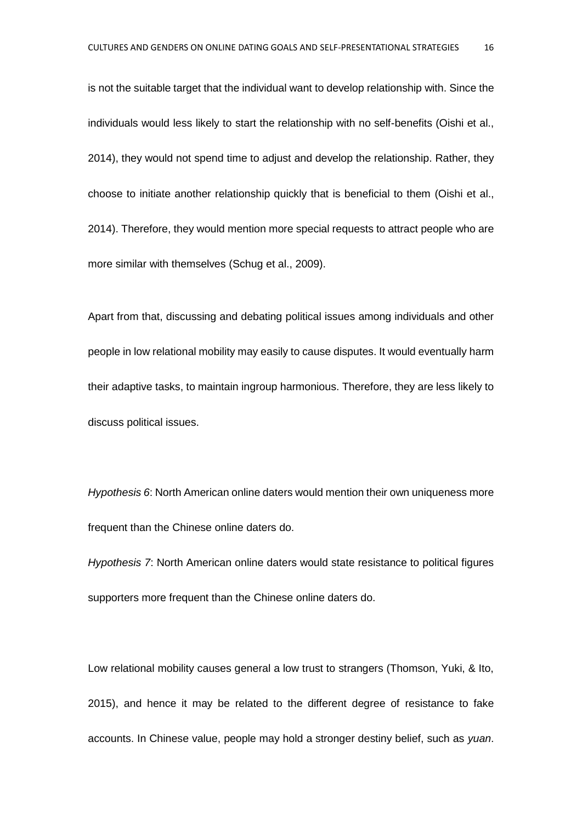is not the suitable target that the individual want to develop relationship with. Since the individuals would less likely to start the relationship with no self-benefits (Oishi et al., 2014), they would not spend time to adjust and develop the relationship. Rather, they choose to initiate another relationship quickly that is beneficial to them (Oishi et al., 2014). Therefore, they would mention more special requests to attract people who are more similar with themselves (Schug et al., 2009).

Apart from that, discussing and debating political issues among individuals and other people in low relational mobility may easily to cause disputes. It would eventually harm their adaptive tasks, to maintain ingroup harmonious. Therefore, they are less likely to discuss political issues.

*Hypothesis 6*: North American online daters would mention their own uniqueness more frequent than the Chinese online daters do.

*Hypothesis 7*: North American online daters would state resistance to political figures supporters more frequent than the Chinese online daters do.

Low relational mobility causes general a low trust to strangers (Thomson, Yuki, & Ito, 2015), and hence it may be related to the different degree of resistance to fake accounts. In Chinese value, people may hold a stronger destiny belief, such as *yuan*.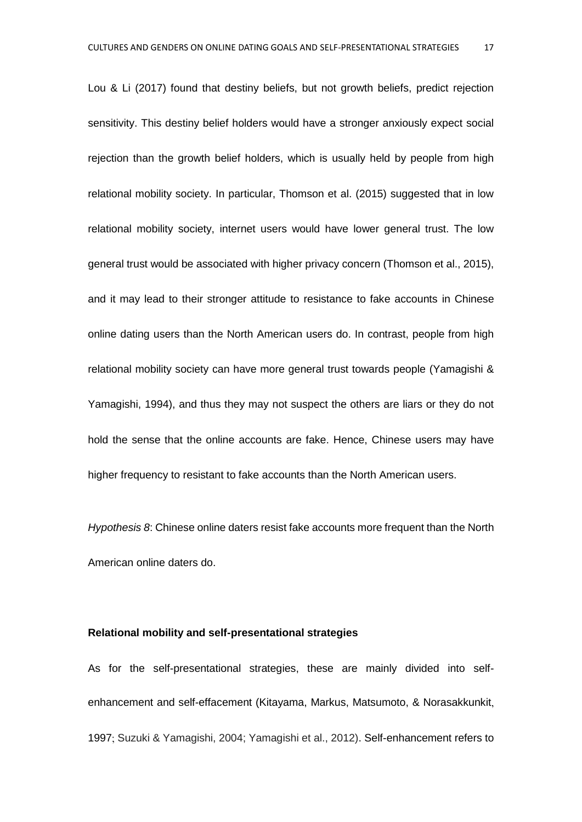Lou & Li (2017) found that destiny beliefs, but not growth beliefs, predict rejection sensitivity. This destiny belief holders would have a stronger anxiously expect social rejection than the growth belief holders, which is usually held by people from high relational mobility society. In particular, Thomson et al. (2015) suggested that in low relational mobility society, internet users would have lower general trust. The low general trust would be associated with higher privacy concern (Thomson et al., 2015), and it may lead to their stronger attitude to resistance to fake accounts in Chinese online dating users than the North American users do. In contrast, people from high relational mobility society can have more general trust towards people (Yamagishi & Yamagishi, 1994), and thus they may not suspect the others are liars or they do not hold the sense that the online accounts are fake. Hence, Chinese users may have higher frequency to resistant to fake accounts than the North American users.

*Hypothesis 8*: Chinese online daters resist fake accounts more frequent than the North American online daters do.

#### **Relational mobility and self-presentational strategies**

As for the self-presentational strategies, these are mainly divided into selfenhancement and self-effacement (Kitayama, Markus, Matsumoto, & Norasakkunkit, 1997; Suzuki & Yamagishi, 2004; Yamagishi et al., 2012). Self-enhancement refers to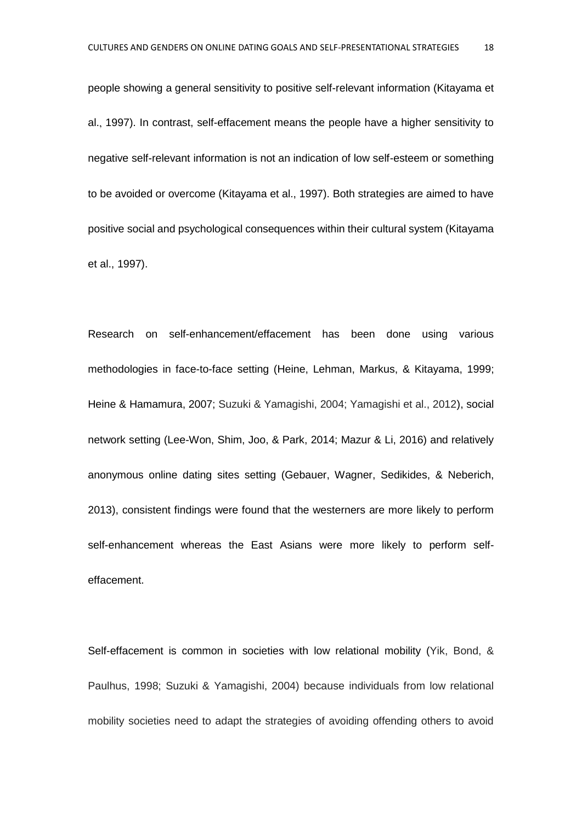people showing a general sensitivity to positive self-relevant information (Kitayama et al., 1997). In contrast, self-effacement means the people have a higher sensitivity to negative self-relevant information is not an indication of low self-esteem or something to be avoided or overcome (Kitayama et al., 1997). Both strategies are aimed to have positive social and psychological consequences within their cultural system (Kitayama et al., 1997).

Research on self-enhancement/effacement has been done using various methodologies in face-to-face setting (Heine, Lehman, Markus, & Kitayama, 1999; Heine & Hamamura, 2007; Suzuki & Yamagishi, 2004; Yamagishi et al., 2012), social network setting (Lee-Won, Shim, Joo, & Park, 2014; Mazur & Li, 2016) and relatively anonymous online dating sites setting (Gebauer, Wagner, Sedikides, & Neberich, 2013), consistent findings were found that the westerners are more likely to perform self-enhancement whereas the East Asians were more likely to perform selfeffacement.

Self-effacement is common in societies with low relational mobility (Yik, Bond, & Paulhus, 1998; Suzuki & Yamagishi, 2004) because individuals from low relational mobility societies need to adapt the strategies of avoiding offending others to avoid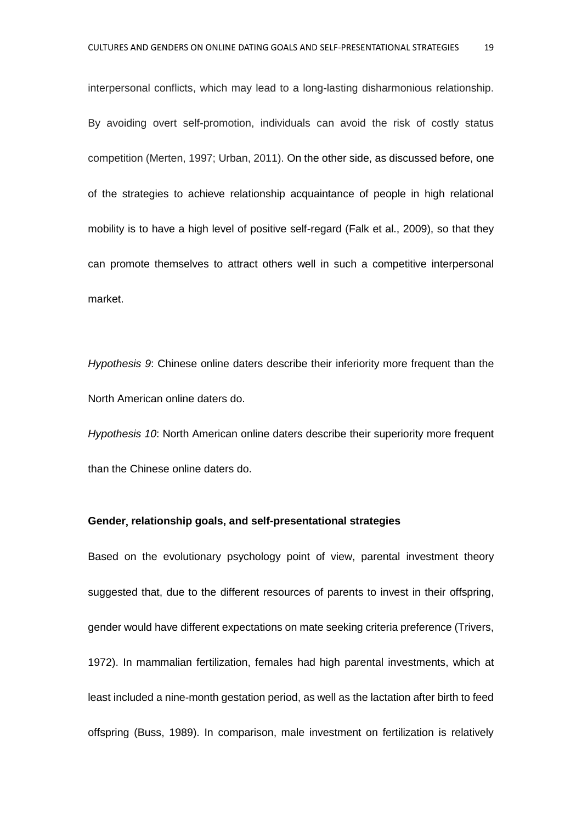interpersonal conflicts, which may lead to a long-lasting disharmonious relationship. By avoiding overt self-promotion, individuals can avoid the risk of costly status competition (Merten, 1997; Urban, 2011). On the other side, as discussed before, one of the strategies to achieve relationship acquaintance of people in high relational mobility is to have a high level of positive self-regard (Falk et al., 2009), so that they can promote themselves to attract others well in such a competitive interpersonal market.

*Hypothesis 9*: Chinese online daters describe their inferiority more frequent than the North American online daters do.

*Hypothesis 10*: North American online daters describe their superiority more frequent than the Chinese online daters do.

#### **Gender**, **relationship goals, and self-presentational strategies**

Based on the evolutionary psychology point of view, parental investment theory suggested that, due to the different resources of parents to invest in their offspring, gender would have different expectations on mate seeking criteria preference (Trivers, 1972). In mammalian fertilization, females had high parental investments, which at least included a nine-month gestation period, as well as the lactation after birth to feed offspring (Buss, 1989). In comparison, male investment on fertilization is relatively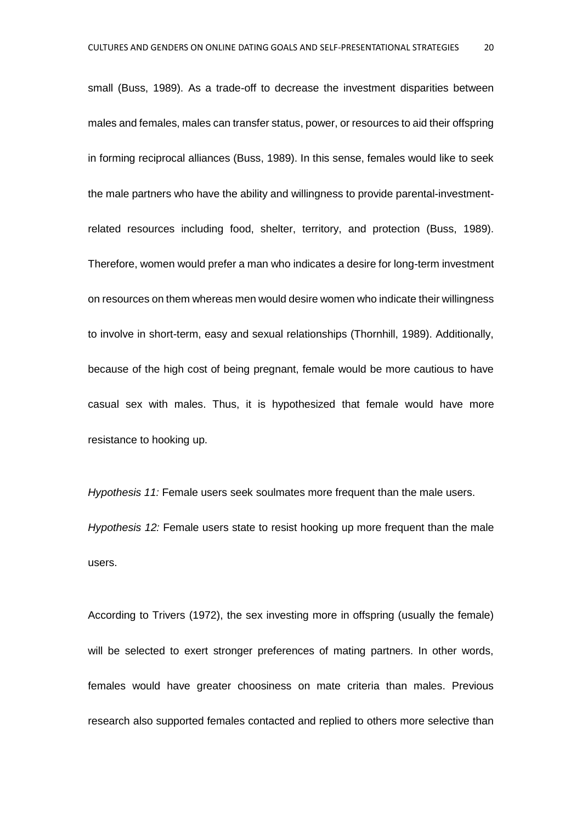small (Buss, 1989). As a trade-off to decrease the investment disparities between males and females, males can transfer status, power, or resources to aid their offspring in forming reciprocal alliances (Buss, 1989). In this sense, females would like to seek the male partners who have the ability and willingness to provide parental-investmentrelated resources including food, shelter, territory, and protection (Buss, 1989). Therefore, women would prefer a man who indicates a desire for long-term investment on resources on them whereas men would desire women who indicate their willingness to involve in short-term, easy and sexual relationships (Thornhill, 1989). Additionally, because of the high cost of being pregnant, female would be more cautious to have casual sex with males. Thus, it is hypothesized that female would have more resistance to hooking up.

*Hypothesis 11:* Female users seek soulmates more frequent than the male users. *Hypothesis 12:* Female users state to resist hooking up more frequent than the male users.

According to Trivers (1972), the sex investing more in offspring (usually the female) will be selected to exert stronger preferences of mating partners. In other words, females would have greater choosiness on mate criteria than males. Previous research also supported females contacted and replied to others more selective than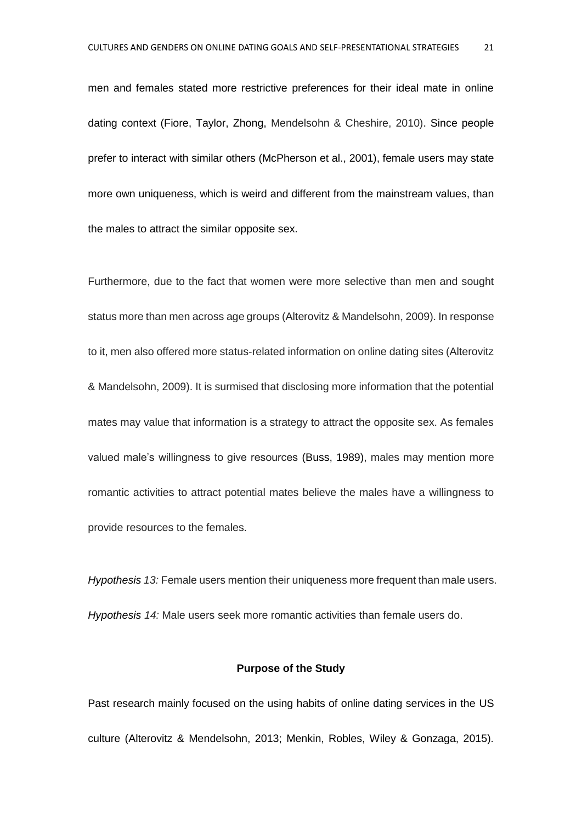men and females stated more restrictive preferences for their ideal mate in online dating context (Fiore, Taylor, Zhong, Mendelsohn & Cheshire, 2010). Since people prefer to interact with similar others (McPherson et al., 2001), female users may state more own uniqueness, which is weird and different from the mainstream values, than the males to attract the similar opposite sex.

Furthermore, due to the fact that women were more selective than men and sought status more than men across age groups (Alterovitz & Mandelsohn, 2009). In response to it, men also offered more status-related information on online dating sites (Alterovitz & Mandelsohn, 2009). It is surmised that disclosing more information that the potential mates may value that information is a strategy to attract the opposite sex. As females valued male's willingness to give resources (Buss, 1989), males may mention more romantic activities to attract potential mates believe the males have a willingness to provide resources to the females.

*Hypothesis 13:* Female users mention their uniqueness more frequent than male users. *Hypothesis 14:* Male users seek more romantic activities than female users do.

#### **Purpose of the Study**

Past research mainly focused on the using habits of online dating services in the US culture (Alterovitz & Mendelsohn, 2013; Menkin, Robles, Wiley & Gonzaga, 2015).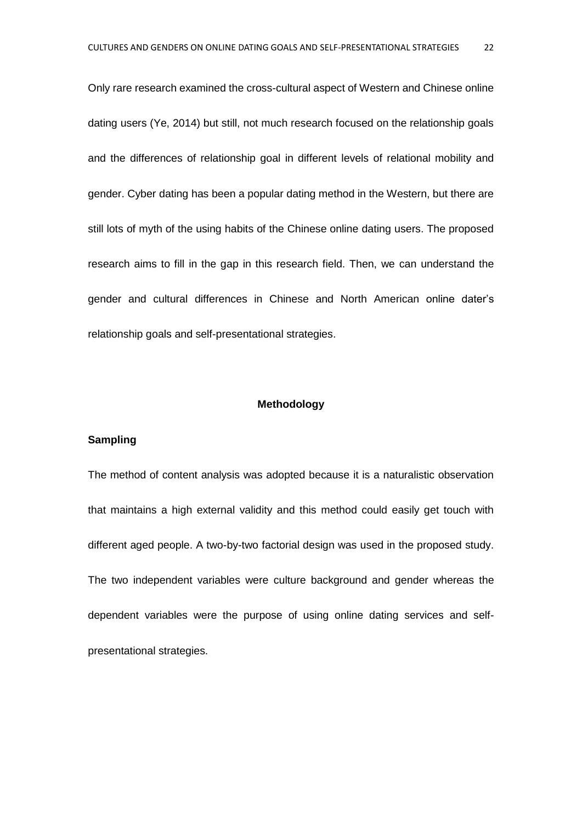Only rare research examined the cross-cultural aspect of Western and Chinese online dating users (Ye, 2014) but still, not much research focused on the relationship goals and the differences of relationship goal in different levels of relational mobility and gender. Cyber dating has been a popular dating method in the Western, but there are still lots of myth of the using habits of the Chinese online dating users. The proposed research aims to fill in the gap in this research field. Then, we can understand the gender and cultural differences in Chinese and North American online dater's relationship goals and self-presentational strategies.

#### **Methodology**

#### **Sampling**

The method of content analysis was adopted because it is a naturalistic observation that maintains a high external validity and this method could easily get touch with different aged people. A two-by-two factorial design was used in the proposed study. The two independent variables were culture background and gender whereas the dependent variables were the purpose of using online dating services and selfpresentational strategies.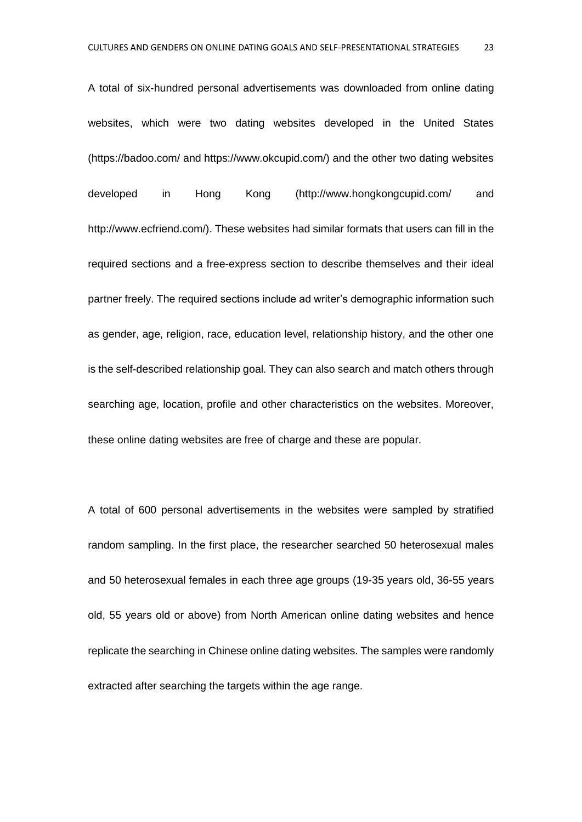A total of six-hundred personal advertisements was downloaded from online dating websites, which were two dating websites developed in the United States (https://badoo.com/ and https://www.okcupid.com/) and the other two dating websites developed in Hong Kong (http://www.hongkongcupid.com/ and http://www.ecfriend.com/). These websites had similar formats that users can fill in the required sections and a free-express section to describe themselves and their ideal partner freely. The required sections include ad writer's demographic information such as gender, age, religion, race, education level, relationship history, and the other one is the self-described relationship goal. They can also search and match others through searching age, location, profile and other characteristics on the websites. Moreover, these online dating websites are free of charge and these are popular.

A total of 600 personal advertisements in the websites were sampled by stratified random sampling. In the first place, the researcher searched 50 heterosexual males and 50 heterosexual females in each three age groups (19-35 years old, 36-55 years old, 55 years old or above) from North American online dating websites and hence replicate the searching in Chinese online dating websites. The samples were randomly extracted after searching the targets within the age range.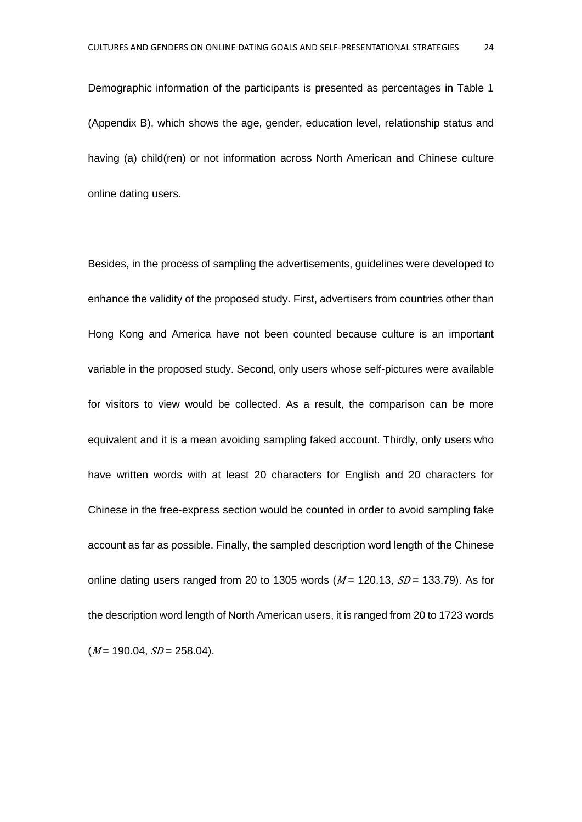Demographic information of the participants is presented as percentages in Table 1 (Appendix B), which shows the age, gender, education level, relationship status and having (a) child(ren) or not information across North American and Chinese culture online dating users.

Besides, in the process of sampling the advertisements, guidelines were developed to enhance the validity of the proposed study. First, advertisers from countries other than Hong Kong and America have not been counted because culture is an important variable in the proposed study. Second, only users whose self-pictures were available for visitors to view would be collected. As a result, the comparison can be more equivalent and it is a mean avoiding sampling faked account. Thirdly, only users who have written words with at least 20 characters for English and 20 characters for Chinese in the free-express section would be counted in order to avoid sampling fake account as far as possible. Finally, the sampled description word length of the Chinese online dating users ranged from 20 to 1305 words ( $M = 120.13$ ,  $SD = 133.79$ ). As for the description word length of North American users, it is ranged from 20 to 1723 words  $(M = 190.04, SD = 258.04).$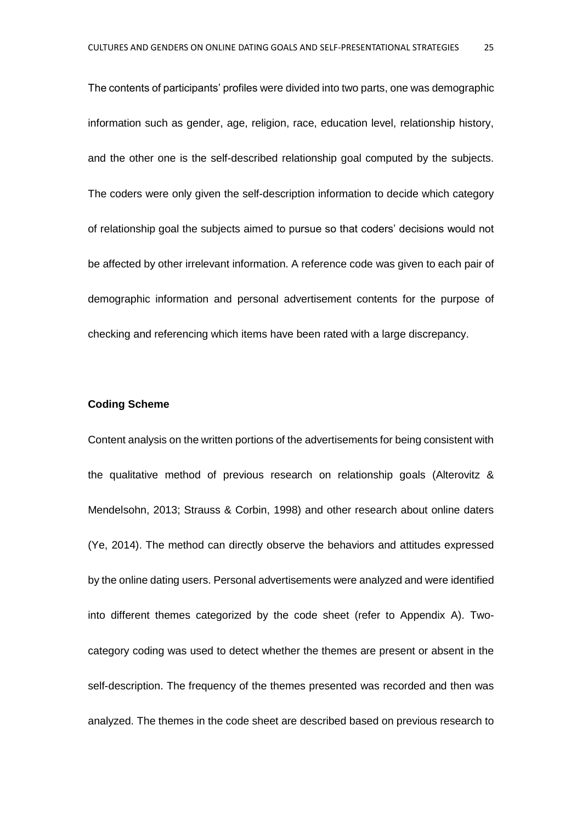The contents of participants' profiles were divided into two parts, one was demographic information such as gender, age, religion, race, education level, relationship history, and the other one is the self-described relationship goal computed by the subjects. The coders were only given the self-description information to decide which category of relationship goal the subjects aimed to pursue so that coders' decisions would not be affected by other irrelevant information. A reference code was given to each pair of demographic information and personal advertisement contents for the purpose of checking and referencing which items have been rated with a large discrepancy.

#### **Coding Scheme**

Content analysis on the written portions of the advertisements for being consistent with the qualitative method of previous research on relationship goals (Alterovitz & Mendelsohn, 2013; Strauss & Corbin, 1998) and other research about online daters (Ye, 2014). The method can directly observe the behaviors and attitudes expressed by the online dating users. Personal advertisements were analyzed and were identified into different themes categorized by the code sheet (refer to Appendix A). Twocategory coding was used to detect whether the themes are present or absent in the self-description. The frequency of the themes presented was recorded and then was analyzed. The themes in the code sheet are described based on previous research to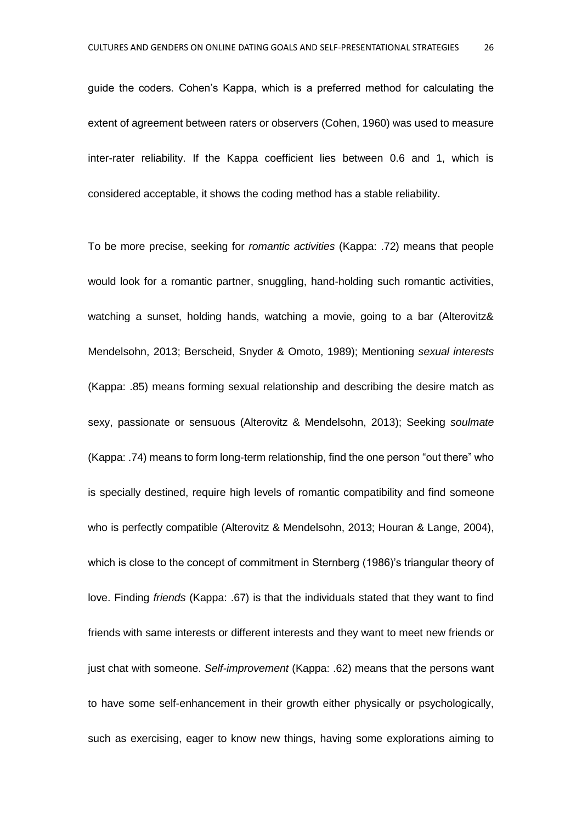guide the coders. Cohen's Kappa, which is a preferred method for calculating the extent of agreement between raters or observers (Cohen, 1960) was used to measure inter-rater reliability. If the Kappa coefficient lies between 0.6 and 1, which is considered acceptable, it shows the coding method has a stable reliability.

To be more precise, seeking for *romantic activities* (Kappa: .72) means that people would look for a romantic partner, snuggling, hand-holding such romantic activities, watching a sunset, holding hands, watching a movie, going to a bar (Alterovitz& Mendelsohn, 2013; Berscheid, Snyder & Omoto, 1989); Mentioning *sexual interests* (Kappa: .85) means forming sexual relationship and describing the desire match as sexy, passionate or sensuous (Alterovitz & Mendelsohn, 2013); Seeking *soulmate* (Kappa: .74) means to form long-term relationship, find the one person "out there" who is specially destined, require high levels of romantic compatibility and find someone who is perfectly compatible (Alterovitz & Mendelsohn, 2013; Houran & Lange, 2004), which is close to the concept of commitment in Sternberg (1986)'s triangular theory of love. Finding *friends* (Kappa: .67) is that the individuals stated that they want to find friends with same interests or different interests and they want to meet new friends or just chat with someone. *Self-improvement* (Kappa: .62) means that the persons want to have some self-enhancement in their growth either physically or psychologically, such as exercising, eager to know new things, having some explorations aiming to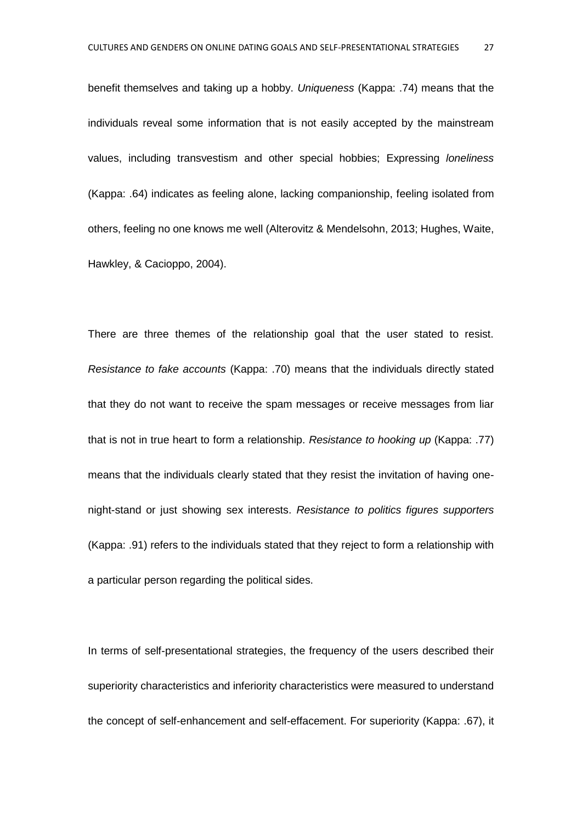benefit themselves and taking up a hobby. *Uniqueness* (Kappa: .74) means that the individuals reveal some information that is not easily accepted by the mainstream values, including transvestism and other special hobbies; Expressing *loneliness* (Kappa: .64) indicates as feeling alone, lacking companionship, feeling isolated from others, feeling no one knows me well (Alterovitz & Mendelsohn, 2013; Hughes, Waite, Hawkley, & Cacioppo, 2004).

There are three themes of the relationship goal that the user stated to resist. *Resistance to fake accounts* (Kappa: .70) means that the individuals directly stated that they do not want to receive the spam messages or receive messages from liar that is not in true heart to form a relationship. *Resistance to hooking up* (Kappa: .77) means that the individuals clearly stated that they resist the invitation of having onenight-stand or just showing sex interests. *Resistance to politics figures supporters* (Kappa: .91) refers to the individuals stated that they reject to form a relationship with a particular person regarding the political sides.

In terms of self-presentational strategies, the frequency of the users described their superiority characteristics and inferiority characteristics were measured to understand the concept of self-enhancement and self-effacement. For superiority (Kappa: .67), it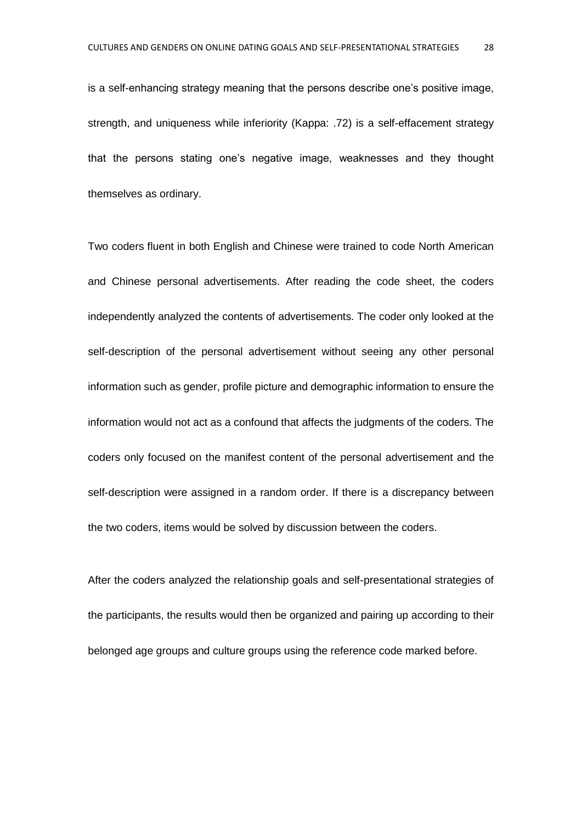is a self-enhancing strategy meaning that the persons describe one's positive image, strength, and uniqueness while inferiority (Kappa: .72) is a self-effacement strategy that the persons stating one's negative image, weaknesses and they thought themselves as ordinary.

Two coders fluent in both English and Chinese were trained to code North American and Chinese personal advertisements. After reading the code sheet, the coders independently analyzed the contents of advertisements. The coder only looked at the self-description of the personal advertisement without seeing any other personal information such as gender, profile picture and demographic information to ensure the information would not act as a confound that affects the judgments of the coders. The coders only focused on the manifest content of the personal advertisement and the self-description were assigned in a random order. If there is a discrepancy between the two coders, items would be solved by discussion between the coders.

After the coders analyzed the relationship goals and self-presentational strategies of the participants, the results would then be organized and pairing up according to their belonged age groups and culture groups using the reference code marked before.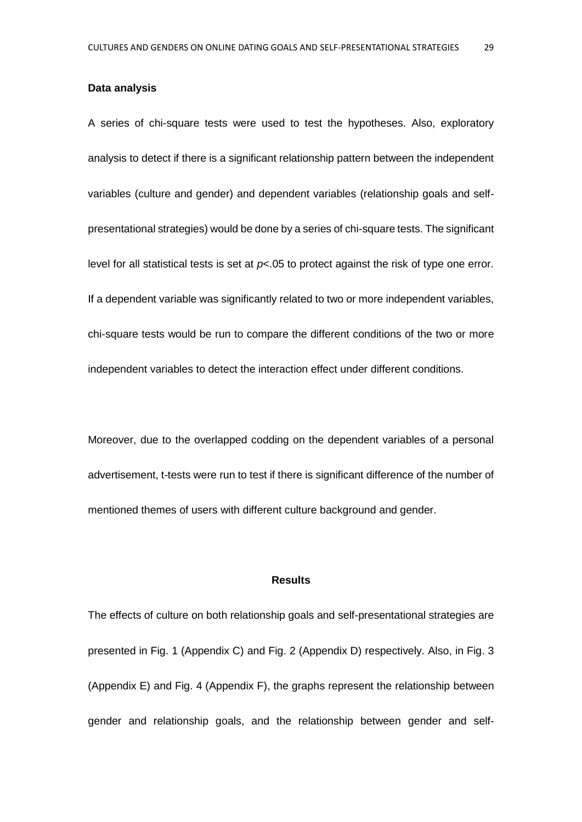#### **Data analysis**

A series of chi-square tests were used to test the hypotheses. Also, exploratory analysis to detect if there is a significant relationship pattern between the independent variables (culture and gender) and dependent variables (relationship goals and selfpresentational strategies) would be done by a series of chi-square tests. The significant level for all statistical tests is set at *p*<.05 to protect against the risk of type one error. If a dependent variable was significantly related to two or more independent variables, chi-square tests would be run to compare the different conditions of the two or more independent variables to detect the interaction effect under different conditions.

Moreover, due to the overlapped codding on the dependent variables of a personal advertisement, t-tests were run to test if there is significant difference of the number of mentioned themes of users with different culture background and gender.

#### **Results**

The effects of culture on both relationship goals and self-presentational strategies are presented in Fig. 1 (Appendix C) and Fig. 2 (Appendix D) respectively. Also, in Fig. 3 (Appendix E) and Fig. 4 (Appendix F), the graphs represent the relationship between gender and relationship goals, and the relationship between gender and self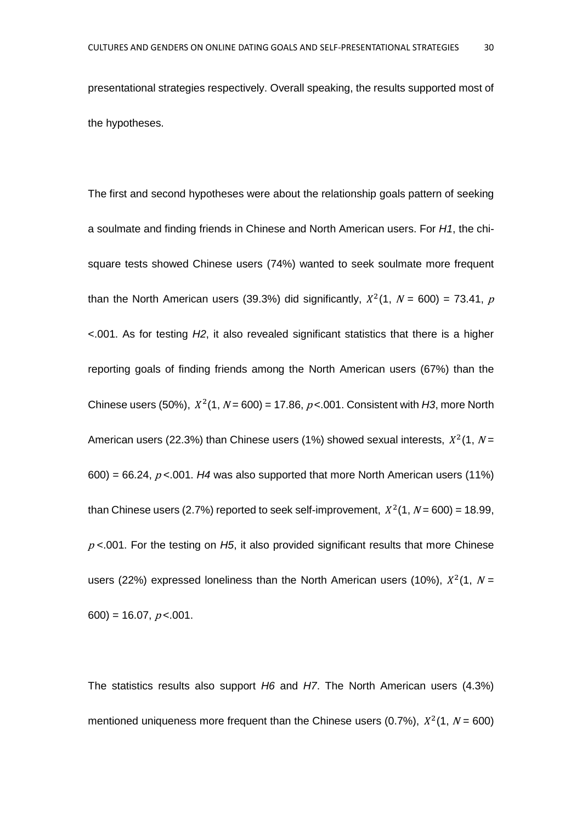presentational strategies respectively. Overall speaking, the results supported most of the hypotheses.

The first and second hypotheses were about the relationship goals pattern of seeking a soulmate and finding friends in Chinese and North American users. For *H1*, the chisquare tests showed Chinese users (74%) wanted to seek soulmate more frequent than the North American users (39.3%) did significantly,  $X^2(1, N = 600) = 73.41$ , p <.001. As for testing *H2*, it also revealed significant statistics that there is a higher reporting goals of finding friends among the North American users (67%) than the Chinese users (50%),  $X^2(1, N = 600) = 17.86$ ,  $p < 0.01$ . Consistent with H3, more North American users (22.3%) than Chinese users (1%) showed sexual interests,  $X^2(1, N=$  $600$ ) = 66.24,  $p$  <.001. *H4* was also supported that more North American users (11%) than Chinese users (2.7%) reported to seek self-improvement,  $X^2(1, N = 600) = 18.99$ , <sup>p</sup> <.001. For the testing on *H5*, it also provided significant results that more Chinese users (22%) expressed loneliness than the North American users (10%),  $X^2(1, N =$  $600$ ) = 16.07,  $p < 001$ .

The statistics results also support *H6* and *H7*. The North American users (4.3%) mentioned uniqueness more frequent than the Chinese users (0.7%),  $X^2(1, N = 600)$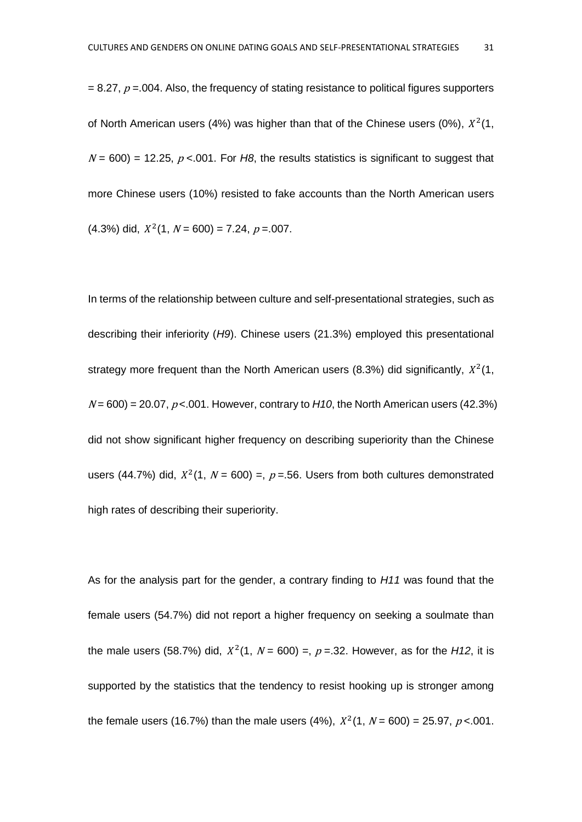$= 8.27$ ,  $p = 0.004$ . Also, the frequency of stating resistance to political figures supporters of North American users (4%) was higher than that of the Chinese users (0%),  $X^2(1)$ ,  $N = 600$  = 12.25,  $p < 001$ . For H8, the results statistics is significant to suggest that more Chinese users (10%) resisted to fake accounts than the North American users  $(4.3\%)$  did,  $X^2(1, N = 600) = 7.24, p = .007$ .

In terms of the relationship between culture and self-presentational strategies, such as describing their inferiority (*H9*). Chinese users (21.3%) employed this presentational strategy more frequent than the North American users (8.3%) did significantly,  $X^2(1)$ ,  $N = 600$  = 20.07,  $p < 0.01$ . However, contrary to  $H10$ , the North American users (42.3%) did not show significant higher frequency on describing superiority than the Chinese users (44.7%) did,  $X^2(1, N = 600) =$ ,  $p = .56$ . Users from both cultures demonstrated high rates of describing their superiority.

As for the analysis part for the gender, a contrary finding to *H11* was found that the female users (54.7%) did not report a higher frequency on seeking a soulmate than the male users (58.7%) did,  $X^2(1, N = 600) =$ ,  $p = 32$ . However, as for the *H12*, it is supported by the statistics that the tendency to resist hooking up is stronger among the female users (16.7%) than the male users (4%),  $X^2(1, N = 600) = 25.97$ ,  $p < 001$ .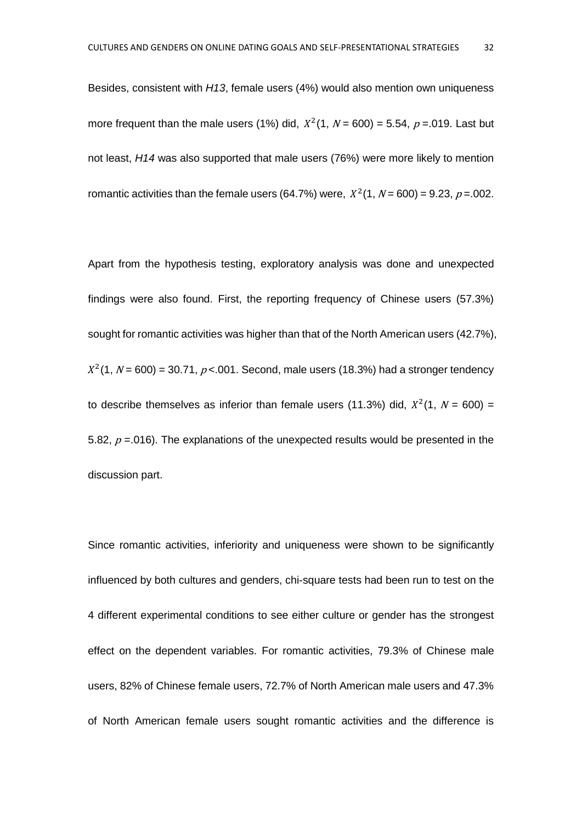Besides, consistent with *H13*, female users (4%) would also mention own uniqueness more frequent than the male users (1%) did,  $X^2(1, N = 600) = 5.54$ ,  $p = 0.019$ . Last but not least, *H14* was also supported that male users (76%) were more likely to mention romantic activities than the female users (64.7%) were,  $X^2(1, N = 600) = 9.23, p = .002$ .

Apart from the hypothesis testing, exploratory analysis was done and unexpected findings were also found. First, the reporting frequency of Chinese users (57.3%) sought for romantic activities was higher than that of the North American users (42.7%),  $X^2(1, N = 600) = 30.71, p < 0.001$ . Second, male users (18.3%) had a stronger tendency to describe themselves as inferior than female users (11.3%) did,  $X^2(1, N = 600) =$ 5.82,  $p = 016$ ). The explanations of the unexpected results would be presented in the discussion part.

Since romantic activities, inferiority and uniqueness were shown to be significantly influenced by both cultures and genders, chi-square tests had been run to test on the 4 different experimental conditions to see either culture or gender has the strongest effect on the dependent variables. For romantic activities, 79.3% of Chinese male users, 82% of Chinese female users, 72.7% of North American male users and 47.3% of North American female users sought romantic activities and the difference is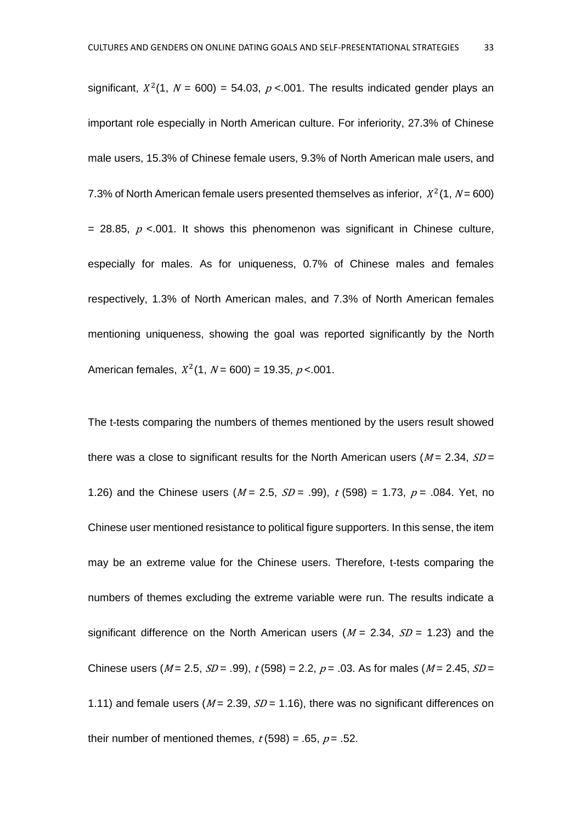significant,  $X^2(1, N = 600) = 54.03$ ,  $p < 0.01$ . The results indicated gender plays an important role especially in North American culture. For inferiority, 27.3% of Chinese male users, 15.3% of Chinese female users, 9.3% of North American male users, and 7.3% of North American female users presented themselves as inferior,  $X^2(1, N = 600)$ = 28.85,  $p$  <.001. It shows this phenomenon was significant in Chinese culture, especially for males. As for uniqueness, 0.7% of Chinese males and females respectively, 1.3% of North American males, and 7.3% of North American females mentioning uniqueness, showing the goal was reported significantly by the North American females,  $X^2(1, N = 600) = 19.35, p < 001$ .

The t-tests comparing the numbers of themes mentioned by the users result showed there was a close to significant results for the North American users ( $M = 2.34$ ,  $SD =$ 1.26) and the Chinese users  $(M = 2.5, SD = .99)$ ,  $t (598) = 1.73$ ,  $p = .084$ . Yet, no Chinese user mentioned resistance to political figure supporters. In this sense, the item may be an extreme value for the Chinese users. Therefore, t-tests comparing the numbers of themes excluding the extreme variable were run. The results indicate a significant difference on the North American users ( $M = 2.34$ ,  $SD = 1.23$ ) and the Chinese users ( $M = 2.5$ ,  $SD = .99$ ),  $t (598) = 2.2$ ,  $p = .03$ . As for males ( $M = 2.45$ ,  $SD =$ 1.11) and female users ( $M = 2.39$ ,  $SD = 1.16$ ), there was no significant differences on their number of mentioned themes,  $t$  (598) = .65,  $p = .52$ .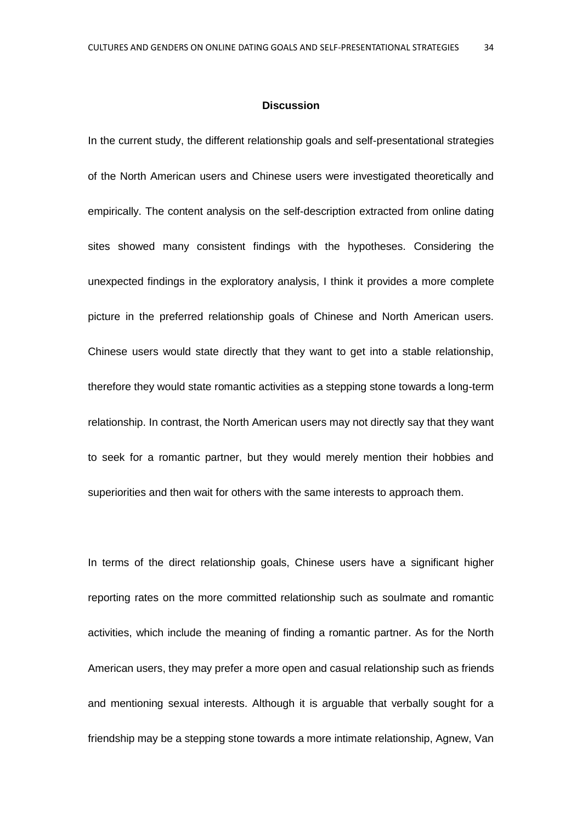#### **Discussion**

In the current study, the different relationship goals and self-presentational strategies of the North American users and Chinese users were investigated theoretically and empirically. The content analysis on the self-description extracted from online dating sites showed many consistent findings with the hypotheses. Considering the unexpected findings in the exploratory analysis, I think it provides a more complete picture in the preferred relationship goals of Chinese and North American users. Chinese users would state directly that they want to get into a stable relationship, therefore they would state romantic activities as a stepping stone towards a long-term relationship. In contrast, the North American users may not directly say that they want to seek for a romantic partner, but they would merely mention their hobbies and superiorities and then wait for others with the same interests to approach them.

In terms of the direct relationship goals, Chinese users have a significant higher reporting rates on the more committed relationship such as soulmate and romantic activities, which include the meaning of finding a romantic partner. As for the North American users, they may prefer a more open and casual relationship such as friends and mentioning sexual interests. Although it is arguable that verbally sought for a friendship may be a stepping stone towards a more intimate relationship, Agnew, Van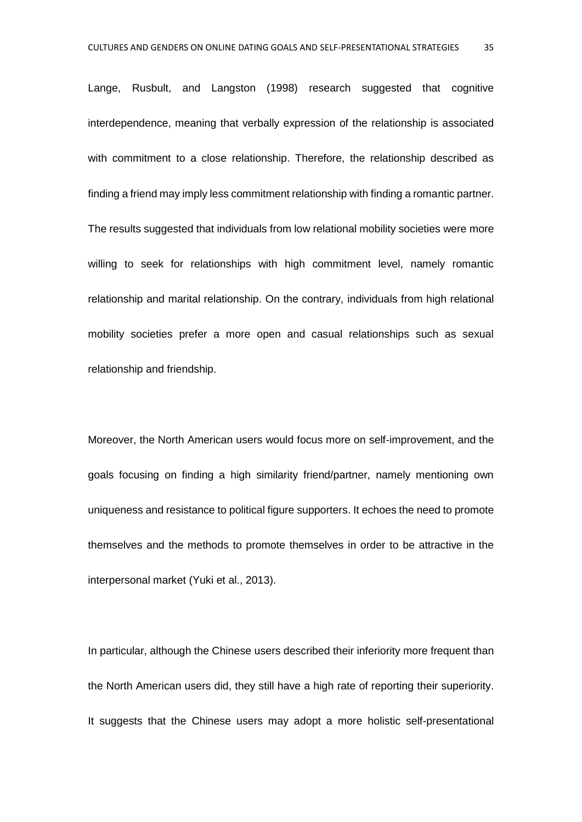Lange, Rusbult, and Langston (1998) research suggested that cognitive interdependence, meaning that verbally expression of the relationship is associated with commitment to a close relationship. Therefore, the relationship described as finding a friend may imply less commitment relationship with finding a romantic partner. The results suggested that individuals from low relational mobility societies were more willing to seek for relationships with high commitment level, namely romantic relationship and marital relationship. On the contrary, individuals from high relational mobility societies prefer a more open and casual relationships such as sexual relationship and friendship.

Moreover, the North American users would focus more on self-improvement, and the goals focusing on finding a high similarity friend/partner, namely mentioning own uniqueness and resistance to political figure supporters. It echoes the need to promote themselves and the methods to promote themselves in order to be attractive in the interpersonal market (Yuki et al., 2013).

In particular, although the Chinese users described their inferiority more frequent than the North American users did, they still have a high rate of reporting their superiority. It suggests that the Chinese users may adopt a more holistic self-presentational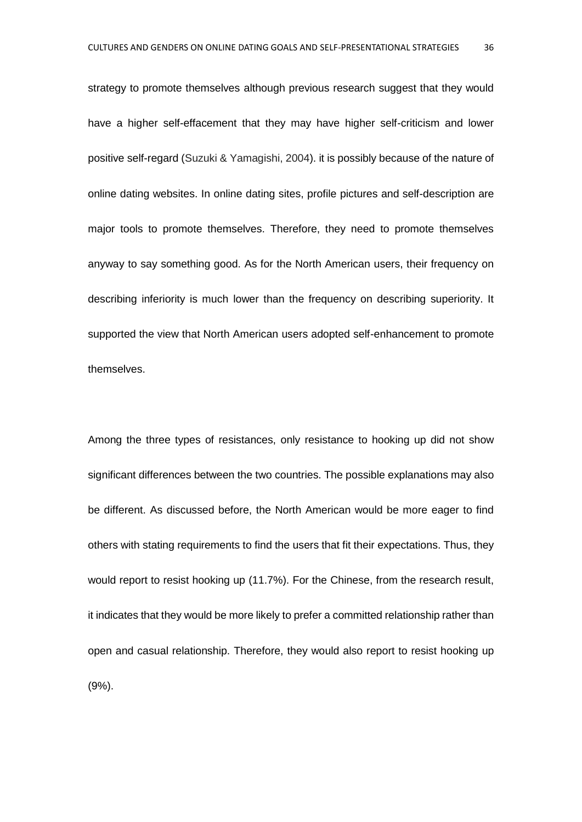strategy to promote themselves although previous research suggest that they would have a higher self-effacement that they may have higher self-criticism and lower positive self-regard (Suzuki & Yamagishi, 2004). it is possibly because of the nature of online dating websites. In online dating sites, profile pictures and self-description are major tools to promote themselves. Therefore, they need to promote themselves anyway to say something good. As for the North American users, their frequency on describing inferiority is much lower than the frequency on describing superiority. It supported the view that North American users adopted self-enhancement to promote themselves.

Among the three types of resistances, only resistance to hooking up did not show significant differences between the two countries. The possible explanations may also be different. As discussed before, the North American would be more eager to find others with stating requirements to find the users that fit their expectations. Thus, they would report to resist hooking up (11.7%). For the Chinese, from the research result, it indicates that they would be more likely to prefer a committed relationship rather than open and casual relationship. Therefore, they would also report to resist hooking up (9%).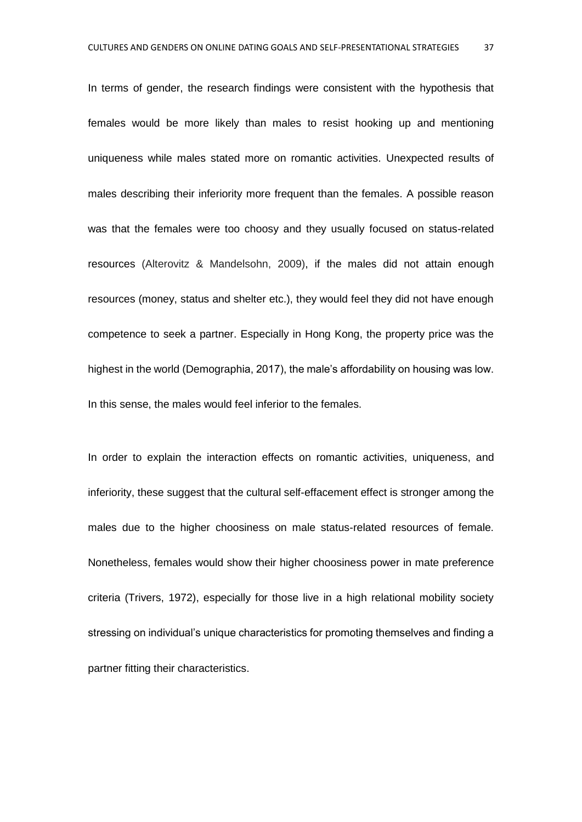In terms of gender, the research findings were consistent with the hypothesis that females would be more likely than males to resist hooking up and mentioning uniqueness while males stated more on romantic activities. Unexpected results of males describing their inferiority more frequent than the females. A possible reason was that the females were too choosy and they usually focused on status-related resources (Alterovitz & Mandelsohn, 2009), if the males did not attain enough resources (money, status and shelter etc.), they would feel they did not have enough competence to seek a partner. Especially in Hong Kong, the property price was the highest in the world (Demographia, 2017), the male's affordability on housing was low. In this sense, the males would feel inferior to the females.

In order to explain the interaction effects on romantic activities, uniqueness, and inferiority, these suggest that the cultural self-effacement effect is stronger among the males due to the higher choosiness on male status-related resources of female. Nonetheless, females would show their higher choosiness power in mate preference criteria (Trivers, 1972), especially for those live in a high relational mobility society stressing on individual's unique characteristics for promoting themselves and finding a partner fitting their characteristics.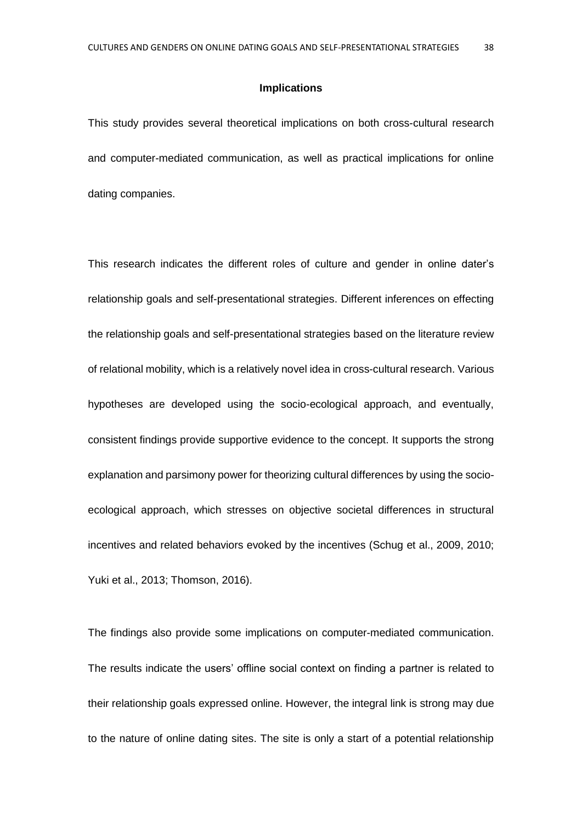#### **Implications**

This study provides several theoretical implications on both cross-cultural research and computer-mediated communication, as well as practical implications for online dating companies.

This research indicates the different roles of culture and gender in online dater's relationship goals and self-presentational strategies. Different inferences on effecting the relationship goals and self-presentational strategies based on the literature review of relational mobility, which is a relatively novel idea in cross-cultural research. Various hypotheses are developed using the socio-ecological approach, and eventually, consistent findings provide supportive evidence to the concept. It supports the strong explanation and parsimony power for theorizing cultural differences by using the socioecological approach, which stresses on objective societal differences in structural incentives and related behaviors evoked by the incentives (Schug et al., 2009, 2010; Yuki et al., 2013; Thomson, 2016).

The findings also provide some implications on computer-mediated communication. The results indicate the users' offline social context on finding a partner is related to their relationship goals expressed online. However, the integral link is strong may due to the nature of online dating sites. The site is only a start of a potential relationship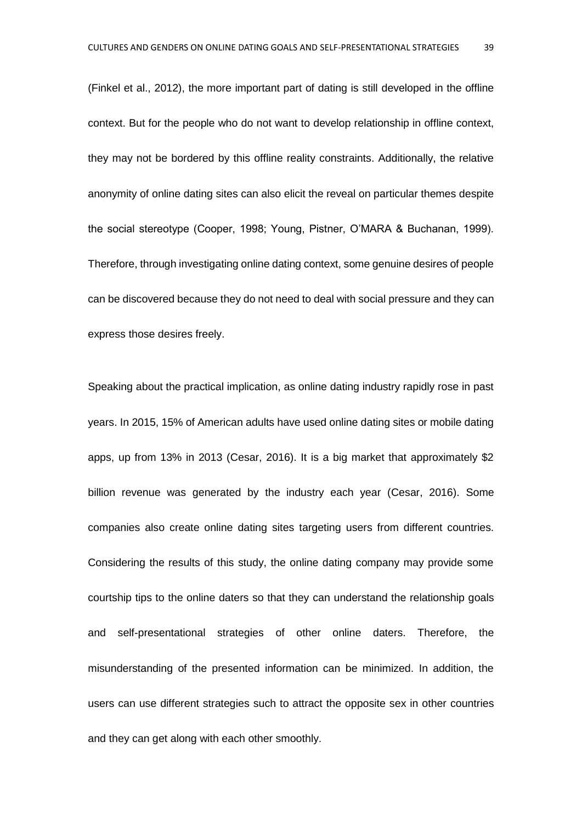(Finkel et al., 2012), the more important part of dating is still developed in the offline context. But for the people who do not want to develop relationship in offline context, they may not be bordered by this offline reality constraints. Additionally, the relative anonymity of online dating sites can also elicit the reveal on particular themes despite the social stereotype (Cooper, 1998; Young, Pistner, O'MARA & Buchanan, 1999). Therefore, through investigating online dating context, some genuine desires of people can be discovered because they do not need to deal with social pressure and they can express those desires freely.

Speaking about the practical implication, as online dating industry rapidly rose in past years. In 2015, 15% of American adults have used online dating sites or mobile dating apps, up from 13% in 2013 (Cesar, 2016). It is a big market that approximately \$2 billion revenue was generated by the industry each year (Cesar, 2016). Some companies also create online dating sites targeting users from different countries. Considering the results of this study, the online dating company may provide some courtship tips to the online daters so that they can understand the relationship goals and self-presentational strategies of other online daters. Therefore, the misunderstanding of the presented information can be minimized. In addition, the users can use different strategies such to attract the opposite sex in other countries and they can get along with each other smoothly.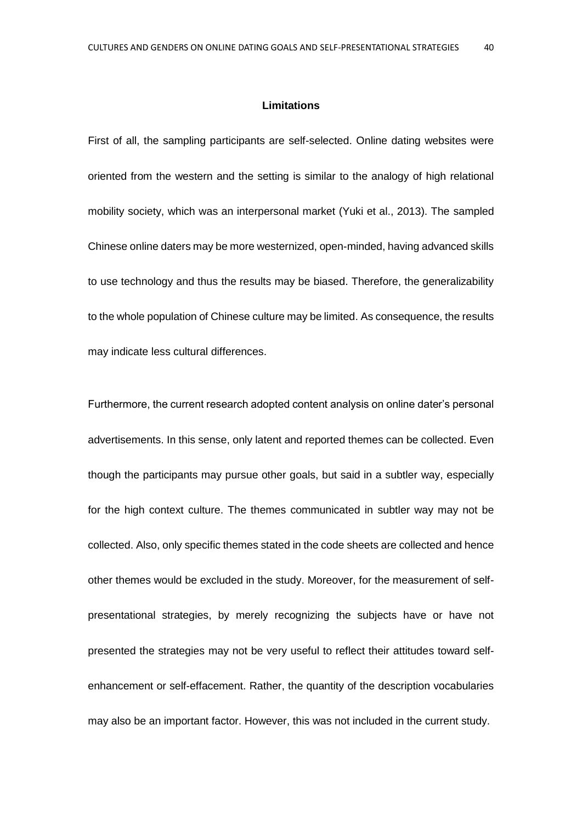#### **Limitations**

First of all, the sampling participants are self-selected. Online dating websites were oriented from the western and the setting is similar to the analogy of high relational mobility society, which was an interpersonal market (Yuki et al., 2013). The sampled Chinese online daters may be more westernized, open-minded, having advanced skills to use technology and thus the results may be biased. Therefore, the generalizability to the whole population of Chinese culture may be limited. As consequence, the results may indicate less cultural differences.

Furthermore, the current research adopted content analysis on online dater's personal advertisements. In this sense, only latent and reported themes can be collected. Even though the participants may pursue other goals, but said in a subtler way, especially for the high context culture. The themes communicated in subtler way may not be collected. Also, only specific themes stated in the code sheets are collected and hence other themes would be excluded in the study. Moreover, for the measurement of selfpresentational strategies, by merely recognizing the subjects have or have not presented the strategies may not be very useful to reflect their attitudes toward selfenhancement or self-effacement. Rather, the quantity of the description vocabularies may also be an important factor. However, this was not included in the current study.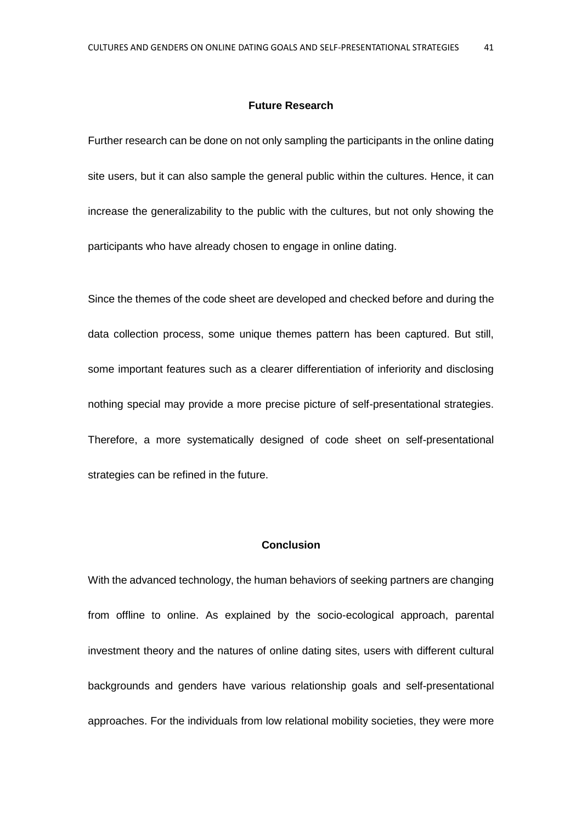#### **Future Research**

Further research can be done on not only sampling the participants in the online dating site users, but it can also sample the general public within the cultures. Hence, it can increase the generalizability to the public with the cultures, but not only showing the participants who have already chosen to engage in online dating.

Since the themes of the code sheet are developed and checked before and during the data collection process, some unique themes pattern has been captured. But still, some important features such as a clearer differentiation of inferiority and disclosing nothing special may provide a more precise picture of self-presentational strategies. Therefore, a more systematically designed of code sheet on self-presentational strategies can be refined in the future.

#### **Conclusion**

With the advanced technology, the human behaviors of seeking partners are changing from offline to online. As explained by the socio-ecological approach, parental investment theory and the natures of online dating sites, users with different cultural backgrounds and genders have various relationship goals and self-presentational approaches. For the individuals from low relational mobility societies, they were more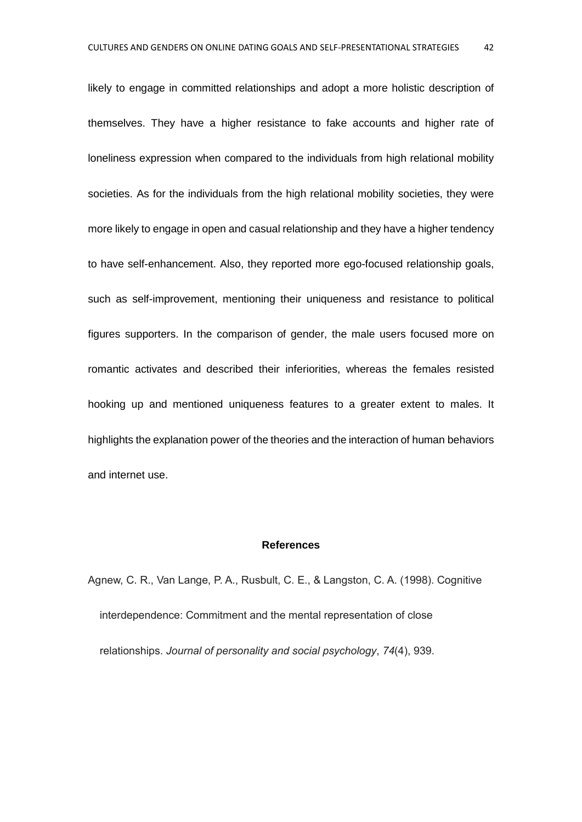likely to engage in committed relationships and adopt a more holistic description of themselves. They have a higher resistance to fake accounts and higher rate of loneliness expression when compared to the individuals from high relational mobility societies. As for the individuals from the high relational mobility societies, they were more likely to engage in open and casual relationship and they have a higher tendency to have self-enhancement. Also, they reported more ego-focused relationship goals, such as self-improvement, mentioning their uniqueness and resistance to political figures supporters. In the comparison of gender, the male users focused more on romantic activates and described their inferiorities, whereas the females resisted hooking up and mentioned uniqueness features to a greater extent to males. It highlights the explanation power of the theories and the interaction of human behaviors and internet use.

#### **References**

Agnew, C. R., Van Lange, P. A., Rusbult, C. E., & Langston, C. A. (1998). Cognitive interdependence: Commitment and the mental representation of close relationships. *Journal of personality and social psychology*, *74*(4), 939.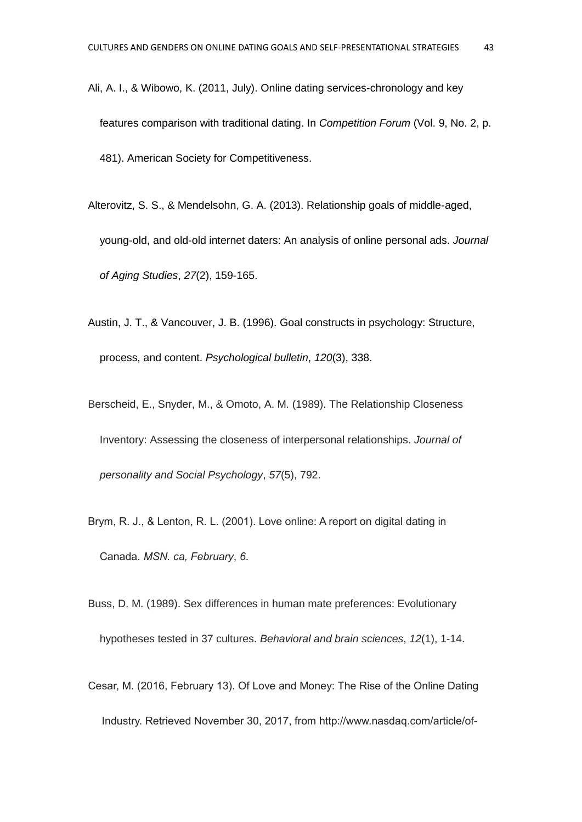- Ali, A. I., & Wibowo, K. (2011, July). Online dating services-chronology and key features comparison with traditional dating. In *Competition Forum* (Vol. 9, No. 2, p. 481). American Society for Competitiveness.
- Alterovitz, S. S., & Mendelsohn, G. A. (2013). Relationship goals of middle-aged, young-old, and old-old internet daters: An analysis of online personal ads. *Journal of Aging Studies*, *27*(2), 159-165.
- Austin, J. T., & Vancouver, J. B. (1996). Goal constructs in psychology: Structure, process, and content. *Psychological bulletin*, *120*(3), 338.
- Berscheid, E., Snyder, M., & Omoto, A. M. (1989). The Relationship Closeness Inventory: Assessing the closeness of interpersonal relationships. *Journal of personality and Social Psychology*, *57*(5), 792.
- Brym, R. J., & Lenton, R. L. (2001). Love online: A report on digital dating in Canada. *MSN. ca, February*, *6*.
- Buss, D. M. (1989). Sex differences in human mate preferences: Evolutionary hypotheses tested in 37 cultures. *Behavioral and brain sciences*, *12*(1), 1-14.
- Cesar, M. (2016, February 13). Of Love and Money: The Rise of the Online Dating Industry. Retrieved November 30, 2017, from [http://www.nasdaq.com/article/of-](http://www.nasdaq.com/article/of-love-and-money-the-rise-of-the-online-dating-industry-cm579616)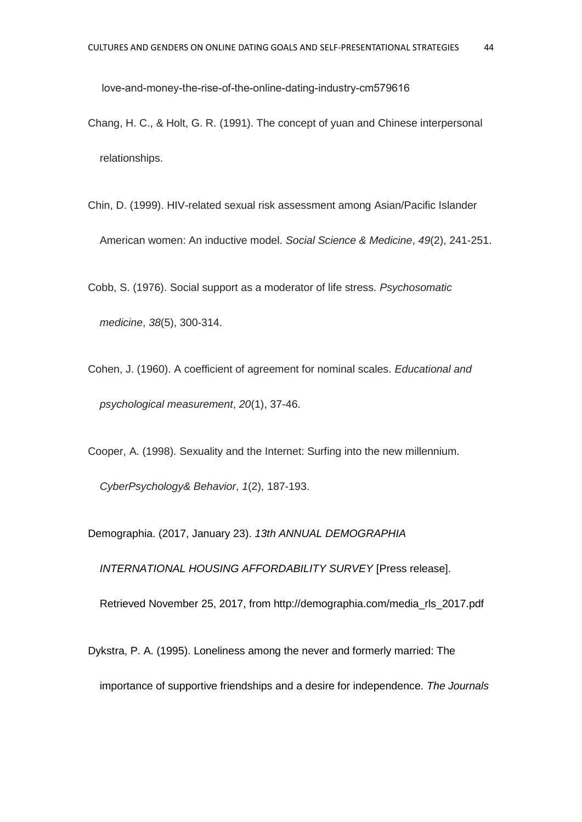[love-and-money-the-rise-of-the-online-dating-industry-cm579616](http://www.nasdaq.com/article/of-love-and-money-the-rise-of-the-online-dating-industry-cm579616)

- Chang, H. C., & Holt, G. R. (1991). The concept of yuan and Chinese interpersonal relationships.
- Chin, D. (1999). HIV-related sexual risk assessment among Asian/Pacific Islander American women: An inductive model. *Social Science & Medicine*, *49*(2), 241-251.

Cobb, S. (1976). Social support as a moderator of life stress. *Psychosomatic medicine*, *38*(5), 300-314.

Cohen, J. (1960). A coefficient of agreement for nominal scales. *Educational and psychological measurement*, *20*(1), 37-46.

Cooper, A. (1998). Sexuality and the Internet: Surfing into the new millennium.

*CyberPsychology& Behavior*, *1*(2), 187-193.

Demographia. (2017, January 23). *13th ANNUAL DEMOGRAPHIA* 

*INTERNATIONAL HOUSING AFFORDABILITY SURVEY* [Press release].

Retrieved November 25, 2017, from http://demographia.com/media\_rls\_2017.pdf

Dykstra, P. A. (1995). Loneliness among the never and formerly married: The

importance of supportive friendships and a desire for independence. *The Journals*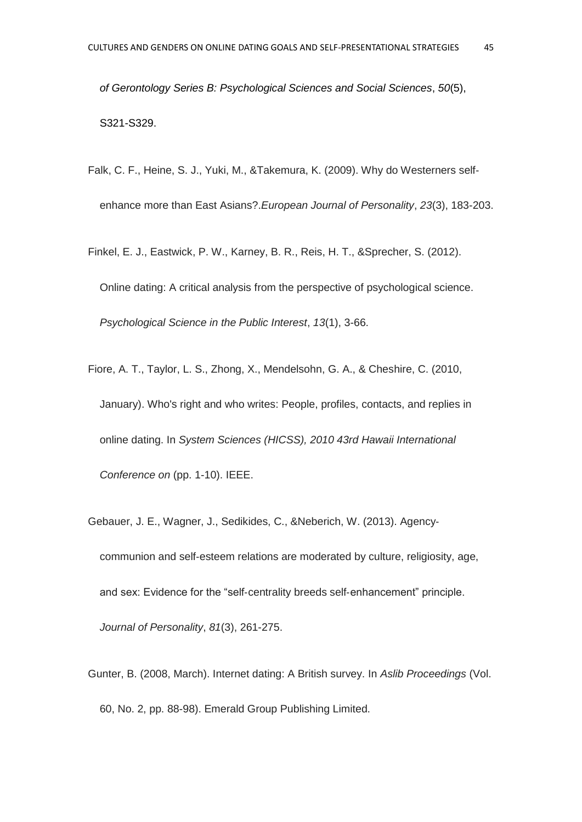*of Gerontology Series B: Psychological Sciences and Social Sciences*, *50*(5), S321-S329.

- Falk, C. F., Heine, S. J., Yuki, M., &Takemura, K. (2009). Why do Westerners self‐ enhance more than East Asians?.*European Journal of Personality*, *23*(3), 183-203.
- Finkel, E. J., Eastwick, P. W., Karney, B. R., Reis, H. T., &Sprecher, S. (2012). Online dating: A critical analysis from the perspective of psychological science. *Psychological Science in the Public Interest*, *13*(1), 3-66.
- Fiore, A. T., Taylor, L. S., Zhong, X., Mendelsohn, G. A., & Cheshire, C. (2010, January). Who's right and who writes: People, profiles, contacts, and replies in online dating. In *System Sciences (HICSS), 2010 43rd Hawaii International Conference on* (pp. 1-10). IEEE.
- Gebauer, J. E., Wagner, J., Sedikides, C., &Neberich, W. (2013). Agency‐ communion and self‐esteem relations are moderated by culture, religiosity, age, and sex: Evidence for the "self‐centrality breeds self‐enhancement" principle. *Journal of Personality*, *81*(3), 261-275.
- Gunter, B. (2008, March). Internet dating: A British survey. In *Aslib Proceedings* (Vol. 60, No. 2, pp. 88-98). Emerald Group Publishing Limited.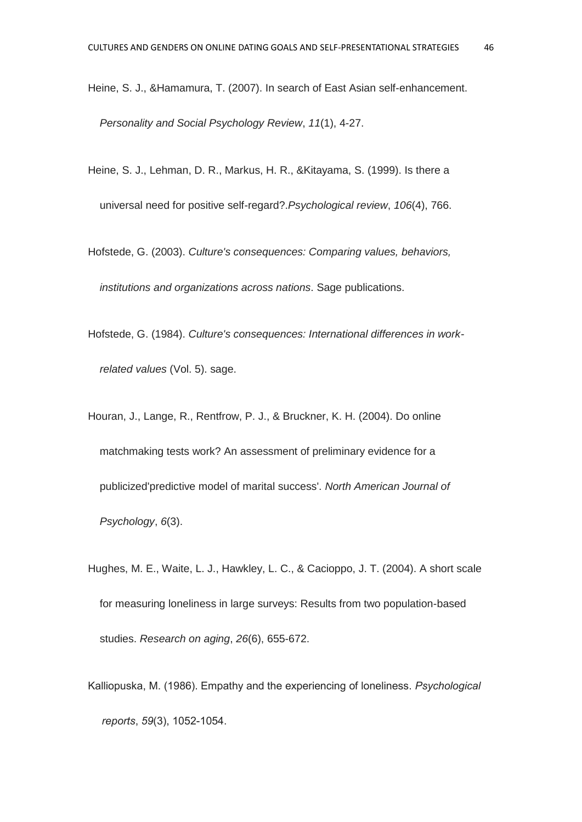- Heine, S. J., &Hamamura, T. (2007). In search of East Asian self-enhancement. *Personality and Social Psychology Review*, *11*(1), 4-27.
- Heine, S. J., Lehman, D. R., Markus, H. R., &Kitayama, S. (1999). Is there a universal need for positive self-regard?.*Psychological review*, *106*(4), 766.
- Hofstede, G. (2003). *Culture's consequences: Comparing values, behaviors, institutions and organizations across nations*. Sage publications.
- Hofstede, G. (1984). *Culture's consequences: International differences in workrelated values* (Vol. 5). sage.
- Houran, J., Lange, R., Rentfrow, P. J., & Bruckner, K. H. (2004). Do online matchmaking tests work? An assessment of preliminary evidence for a publicized'predictive model of marital success'. *North American Journal of Psychology*, *6*(3).
- Hughes, M. E., Waite, L. J., Hawkley, L. C., & Cacioppo, J. T. (2004). A short scale for measuring loneliness in large surveys: Results from two population-based studies. *Research on aging*, *26*(6), 655-672.
- Kalliopuska, M. (1986). Empathy and the experiencing of loneliness. *Psychological reports*, *59*(3), 1052-1054.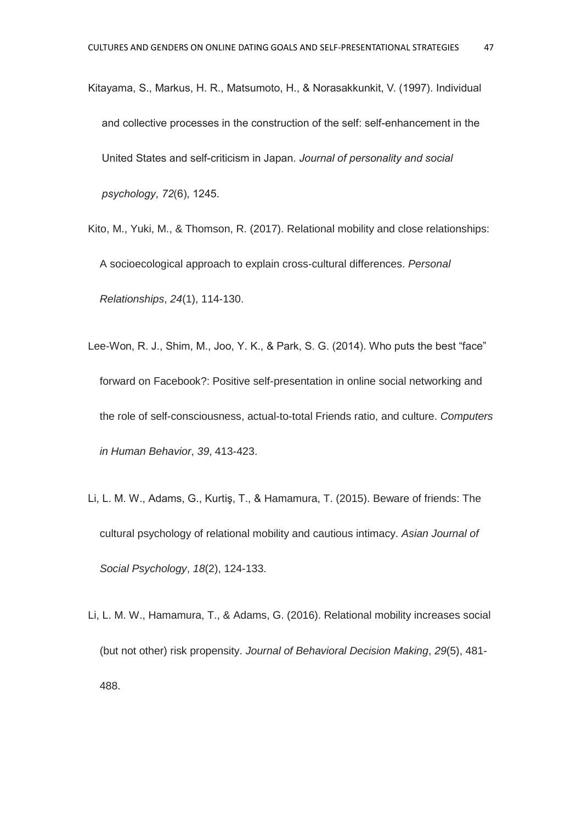- Kitayama, S., Markus, H. R., Matsumoto, H., & Norasakkunkit, V. (1997). Individual and collective processes in the construction of the self: self-enhancement in the United States and self-criticism in Japan. *Journal of personality and social psychology*, *72*(6), 1245.
- Kito, M., Yuki, M., & Thomson, R. (2017). Relational mobility and close relationships: A socioecological approach to explain cross‐cultural differences. *Personal Relationships*, *24*(1), 114-130.
- Lee-Won, R. J., Shim, M., Joo, Y. K., & Park, S. G. (2014). Who puts the best "face" forward on Facebook?: Positive self-presentation in online social networking and the role of self-consciousness, actual-to-total Friends ratio, and culture. *Computers in Human Behavior*, *39*, 413-423.
- Li, L. M. W., Adams, G., Kurtiş, T., & Hamamura, T. (2015). Beware of friends: The cultural psychology of relational mobility and cautious intimacy. *Asian Journal of Social Psychology*, *18*(2), 124-133.
- Li, L. M. W., Hamamura, T., & Adams, G. (2016). Relational mobility increases social (but not other) risk propensity. *Journal of Behavioral Decision Making*, *29*(5), 481- 488.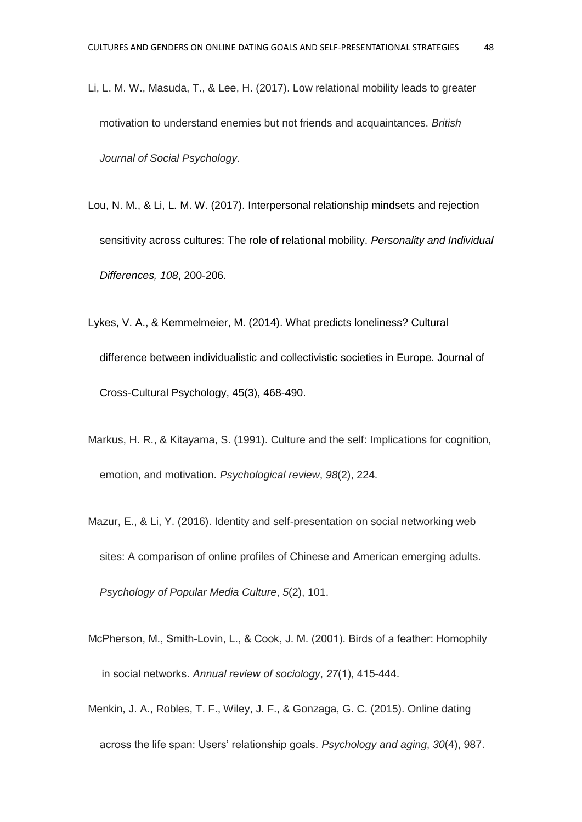- Li, L. M. W., Masuda, T., & Lee, H. (2017). Low relational mobility leads to greater motivation to understand enemies but not friends and acquaintances. *British Journal of Social Psychology*.
- Lou, N. M., & Li, L. M. W. (2017). Interpersonal relationship mindsets and rejection sensitivity across cultures: The role of relational mobility. *Personality and Individual Differences, 108*, 200-206.
- Lykes, V. A., & Kemmelmeier, M. (2014). What predicts loneliness? Cultural difference between individualistic and collectivistic societies in Europe. Journal of Cross-Cultural Psychology, 45(3), 468-490.
- Markus, H. R., & Kitayama, S. (1991). Culture and the self: Implications for cognition, emotion, and motivation. *Psychological review*, *98*(2), 224.
- Mazur, E., & Li, Y. (2016). Identity and self-presentation on social networking web sites: A comparison of online profiles of Chinese and American emerging adults. *Psychology of Popular Media Culture*, *5*(2), 101.
- McPherson, M., Smith-Lovin, L., & Cook, J. M. (2001). Birds of a feather: Homophily in social networks. *Annual review of sociology*, *27*(1), 415-444.
- Menkin, J. A., Robles, T. F., Wiley, J. F., & Gonzaga, G. C. (2015). Online dating across the life span: Users' relationship goals. *Psychology and aging*, *30*(4), 987.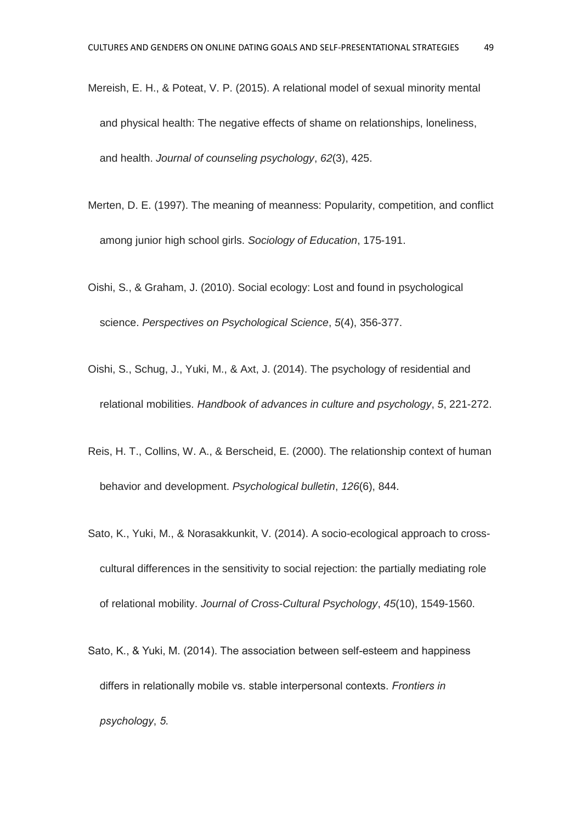- Mereish, E. H., & Poteat, V. P. (2015). A relational model of sexual minority mental and physical health: The negative effects of shame on relationships, loneliness, and health. *Journal of counseling psychology*, *62*(3), 425.
- Merten, D. E. (1997). The meaning of meanness: Popularity, competition, and conflict among junior high school girls. *Sociology of Education*, 175-191.
- Oishi, S., & Graham, J. (2010). Social ecology: Lost and found in psychological science. *Perspectives on Psychological Science*, *5*(4), 356-377.
- Oishi, S., Schug, J., Yuki, M., & Axt, J. (2014). The psychology of residential and relational mobilities. *Handbook of advances in culture and psychology*, *5*, 221-272.
- Reis, H. T., Collins, W. A., & Berscheid, E. (2000). The relationship context of human behavior and development. *Psychological bulletin*, *126*(6), 844.
- Sato, K., Yuki, M., & Norasakkunkit, V. (2014). A socio-ecological approach to crosscultural differences in the sensitivity to social rejection: the partially mediating role of relational mobility. *Journal of Cross-Cultural Psychology*, *45*(10), 1549-1560.
- Sato, K., & Yuki, M. (2014). The association between self-esteem and happiness differs in relationally mobile vs. stable interpersonal contexts. *Frontiers in psychology*, *5*.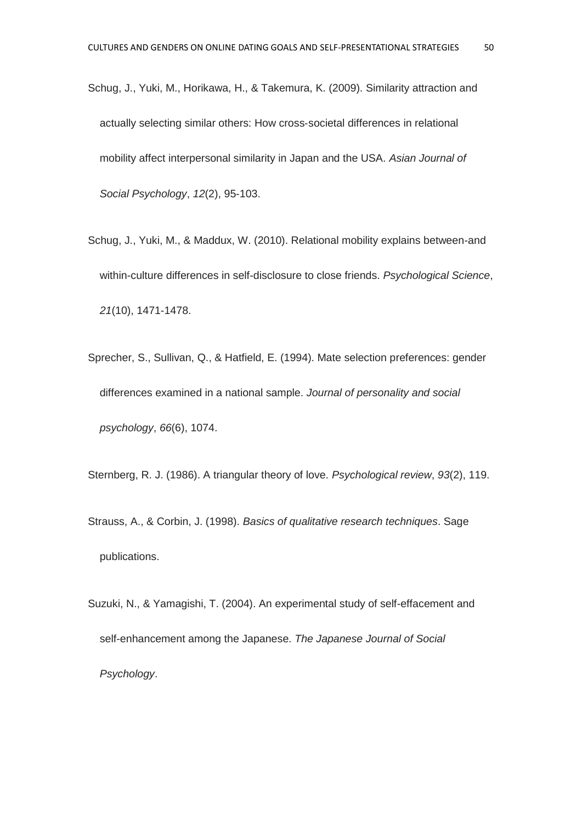- Schug, J., Yuki, M., Horikawa, H., & Takemura, K. (2009). Similarity attraction and actually selecting similar others: How cross‐societal differences in relational mobility affect interpersonal similarity in Japan and the USA. *Asian Journal of Social Psychology*, *12*(2), 95-103.
- Schug, J., Yuki, M., & Maddux, W. (2010). Relational mobility explains between-and within-culture differences in self-disclosure to close friends. *Psychological Science*, *21*(10), 1471-1478.
- Sprecher, S., Sullivan, Q., & Hatfield, E. (1994). Mate selection preferences: gender differences examined in a national sample. *Journal of personality and social psychology*, *66*(6), 1074.

Sternberg, R. J. (1986). A triangular theory of love. *Psychological review*, *93*(2), 119.

- Strauss, A., & Corbin, J. (1998). *Basics of qualitative research techniques*. Sage publications.
- Suzuki, N., & Yamagishi, T. (2004). An experimental study of self-effacement and self-enhancement among the Japanese. *The Japanese Journal of Social Psychology*.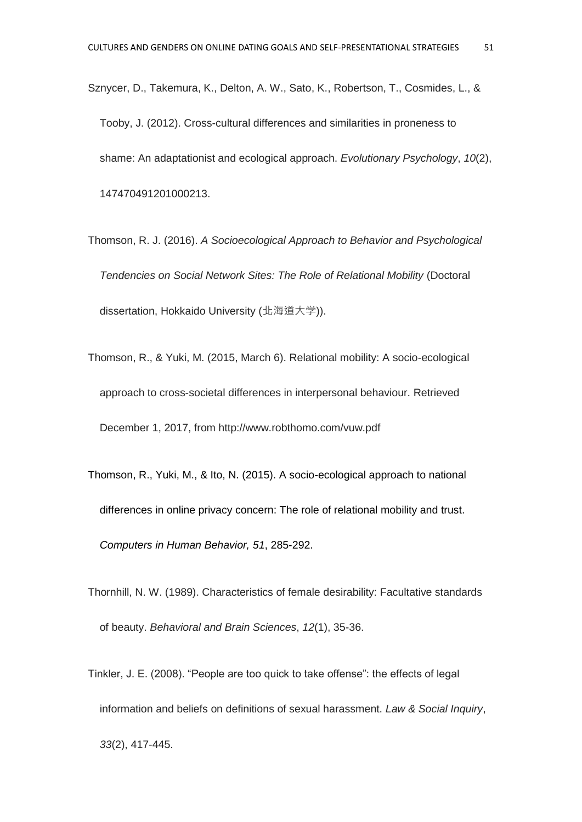- Sznycer, D., Takemura, K., Delton, A. W., Sato, K., Robertson, T., Cosmides, L., & Tooby, J. (2012). Cross-cultural differences and similarities in proneness to shame: An adaptationist and ecological approach. *Evolutionary Psychology*, *10*(2), 147470491201000213.
- Thomson, R. J. (2016). *A Socioecological Approach to Behavior and Psychological Tendencies on Social Network Sites: The Role of Relational Mobility* (Doctoral dissertation, Hokkaido University (北海道大学)).
- Thomson, R., & Yuki, M. (2015, March 6). Relational mobility: A socio-ecological approach to cross-societal differences in interpersonal behaviour. Retrieved December 1, 2017, from http://www.robthomo.com/vuw.pdf
- Thomson, R., Yuki, M., & Ito, N. (2015). A socio-ecological approach to national differences in online privacy concern: The role of relational mobility and trust. *Computers in Human Behavior, 51*, 285-292.
- Thornhill, N. W. (1989). Characteristics of female desirability: Facultative standards of beauty. *Behavioral and Brain Sciences*, *12*(1), 35-36.
- Tinkler, J. E. (2008). "People are too quick to take offense": the effects of legal information and beliefs on definitions of sexual harassment. *Law & Social Inquiry*, *33*(2), 417-445.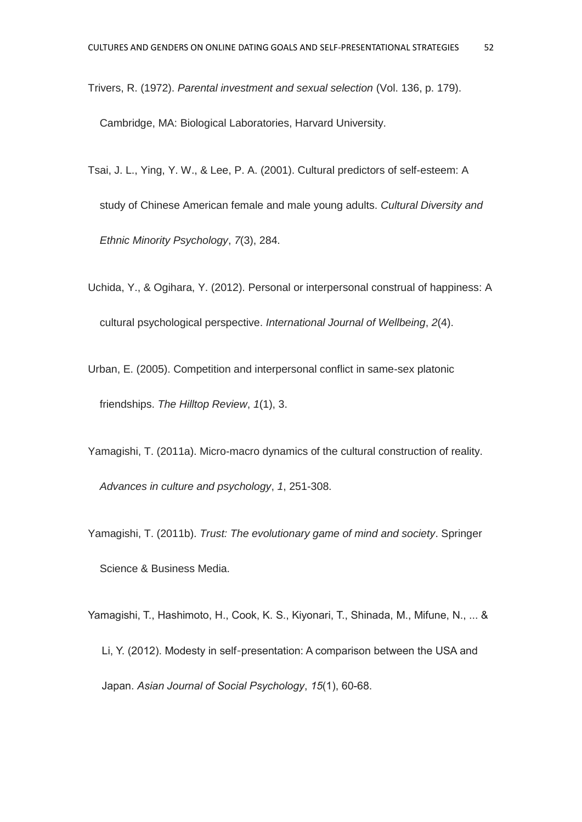Trivers, R. (1972). *Parental investment and sexual selection* (Vol. 136, p. 179).

Cambridge, MA: Biological Laboratories, Harvard University.

- Tsai, J. L., Ying, Y. W., & Lee, P. A. (2001). Cultural predictors of self-esteem: A study of Chinese American female and male young adults. *Cultural Diversity and Ethnic Minority Psychology*, *7*(3), 284.
- Uchida, Y., & Ogihara, Y. (2012). Personal or interpersonal construal of happiness: A cultural psychological perspective. *International Journal of Wellbeing*, *2*(4).
- Urban, E. (2005). Competition and interpersonal conflict in same-sex platonic friendships. *The Hilltop Review*, *1*(1), 3.
- Yamagishi, T. (2011a). Micro-macro dynamics of the cultural construction of reality. *Advances in culture and psychology*, *1*, 251-308.
- Yamagishi, T. (2011b). *Trust: The evolutionary game of mind and society*. Springer Science & Business Media.
- Yamagishi, T., Hashimoto, H., Cook, K. S., Kiyonari, T., Shinada, M., Mifune, N., ... & Li, Y. (2012). Modesty in self‐presentation: A comparison between the USA and Japan. *Asian Journal of Social Psychology*, *15*(1), 60-68.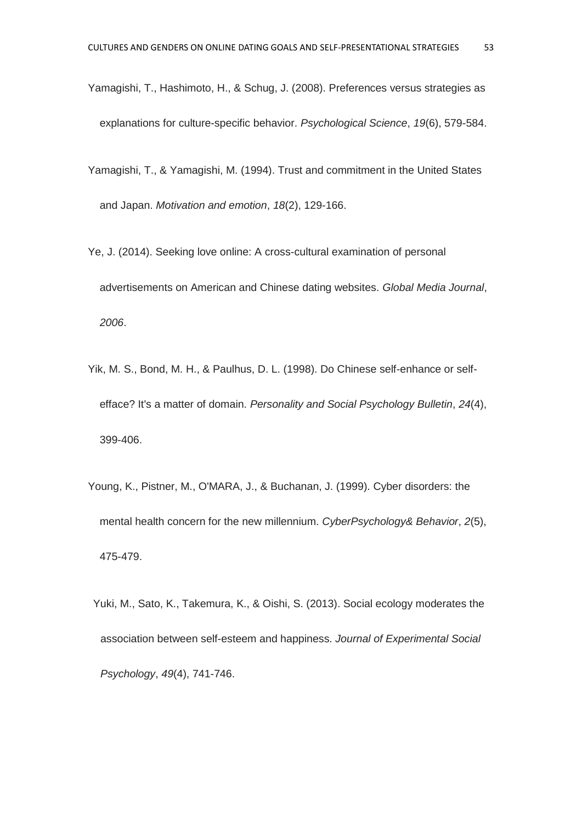- Yamagishi, T., Hashimoto, H., & Schug, J. (2008). Preferences versus strategies as explanations for culture-specific behavior. *Psychological Science*, *19*(6), 579-584.
- Yamagishi, T., & Yamagishi, M. (1994). Trust and commitment in the United States and Japan. *Motivation and emotion*, *18*(2), 129-166.
- Ye, J. (2014). Seeking love online: A cross-cultural examination of personal advertisements on American and Chinese dating websites. *Global Media Journal*, *2006*.
- Yik, M. S., Bond, M. H., & Paulhus, D. L. (1998). Do Chinese self-enhance or selfefface? It's a matter of domain. *Personality and Social Psychology Bulletin*, *24*(4), 399-406.
- Young, K., Pistner, M., O'MARA, J., & Buchanan, J. (1999). Cyber disorders: the mental health concern for the new millennium. *CyberPsychology& Behavior*, *2*(5), 475-479.
- Yuki, M., Sato, K., Takemura, K., & Oishi, S. (2013). Social ecology moderates the association between self-esteem and happiness. *Journal of Experimental Social Psychology*, *49*(4), 741-746.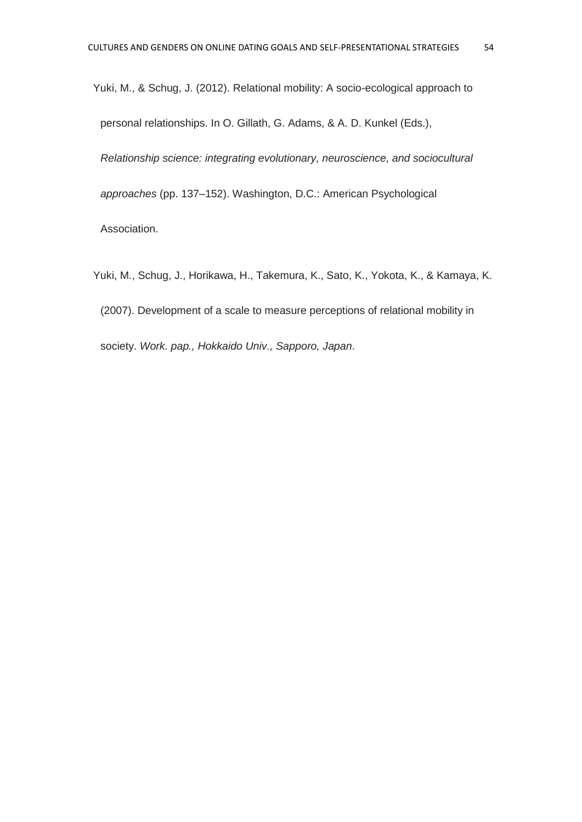Yuki, M., & Schug, J. (2012). Relational mobility: A socio-ecological approach to personal relationships. In O. Gillath, G. Adams, & A. D. Kunkel (Eds.), *Relationship science: integrating evolutionary, neuroscience, and sociocultural approaches* (pp. 137–152). Washington, D.C.: American Psychological Association.

Yuki, M., Schug, J., Horikawa, H., Takemura, K., Sato, K., Yokota, K., & Kamaya, K. (2007). Development of a scale to measure perceptions of relational mobility in society. *Work. pap., Hokkaido Univ., Sapporo, Japan*.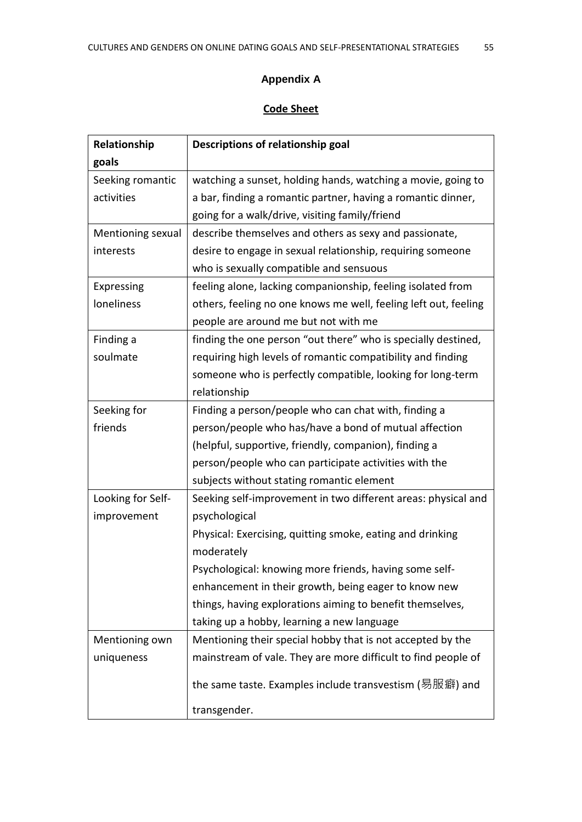### **Appendix A**

## **Code Sheet**

| Relationship      | Descriptions of relationship goal                               |  |
|-------------------|-----------------------------------------------------------------|--|
| goals             |                                                                 |  |
| Seeking romantic  | watching a sunset, holding hands, watching a movie, going to    |  |
| activities        | a bar, finding a romantic partner, having a romantic dinner,    |  |
|                   | going for a walk/drive, visiting family/friend                  |  |
| Mentioning sexual | describe themselves and others as sexy and passionate,          |  |
| interests         | desire to engage in sexual relationship, requiring someone      |  |
|                   | who is sexually compatible and sensuous                         |  |
| Expressing        | feeling alone, lacking companionship, feeling isolated from     |  |
| loneliness        | others, feeling no one knows me well, feeling left out, feeling |  |
|                   | people are around me but not with me                            |  |
| Finding a         | finding the one person "out there" who is specially destined,   |  |
| soulmate          | requiring high levels of romantic compatibility and finding     |  |
|                   | someone who is perfectly compatible, looking for long-term      |  |
|                   | relationship                                                    |  |
| Seeking for       | Finding a person/people who can chat with, finding a            |  |
| friends           | person/people who has/have a bond of mutual affection           |  |
|                   | (helpful, supportive, friendly, companion), finding a           |  |
|                   | person/people who can participate activities with the           |  |
|                   | subjects without stating romantic element                       |  |
| Looking for Self- | Seeking self-improvement in two different areas: physical and   |  |
| improvement       | psychological                                                   |  |
|                   | Physical: Exercising, quitting smoke, eating and drinking       |  |
|                   | moderately                                                      |  |
|                   | Psychological: knowing more friends, having some self-          |  |
|                   | enhancement in their growth, being eager to know new            |  |
|                   | things, having explorations aiming to benefit themselves,       |  |
|                   | taking up a hobby, learning a new language                      |  |
| Mentioning own    | Mentioning their special hobby that is not accepted by the      |  |
| uniqueness        | mainstream of vale. They are more difficult to find people of   |  |
|                   | the same taste. Examples include transvestism (易服癖) and         |  |
|                   | transgender.                                                    |  |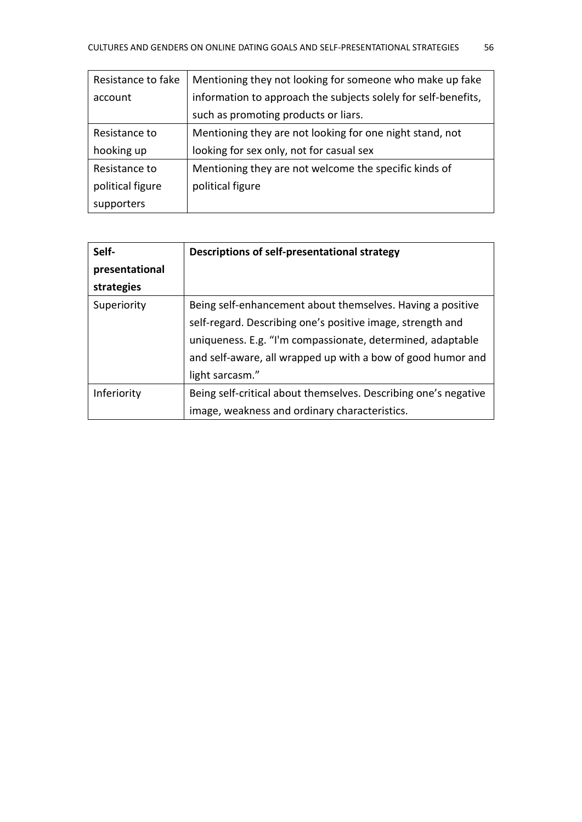| Resistance to fake | Mentioning they not looking for someone who make up fake       |
|--------------------|----------------------------------------------------------------|
| account            | information to approach the subjects solely for self-benefits, |
|                    | such as promoting products or liars.                           |
| Resistance to      | Mentioning they are not looking for one night stand, not       |
| hooking up         | looking for sex only, not for casual sex                       |
| Resistance to      | Mentioning they are not welcome the specific kinds of          |
| political figure   | political figure                                               |
| supporters         |                                                                |

| Self-          | Descriptions of self-presentational strategy                    |
|----------------|-----------------------------------------------------------------|
| presentational |                                                                 |
| strategies     |                                                                 |
| Superiority    | Being self-enhancement about themselves. Having a positive      |
|                | self-regard. Describing one's positive image, strength and      |
|                | uniqueness. E.g. "I'm compassionate, determined, adaptable      |
|                | and self-aware, all wrapped up with a bow of good humor and     |
|                | light sarcasm."                                                 |
| Inferiority    | Being self-critical about themselves. Describing one's negative |
|                | image, weakness and ordinary characteristics.                   |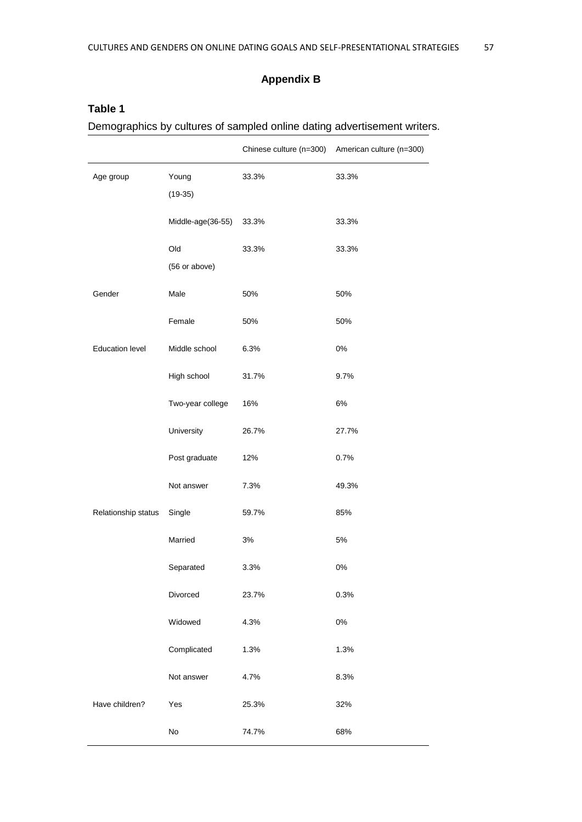#### **Appendix B**

# Chinese culture (n=300) American culture (n=300) Age group Young (19-35) 33.3% 33.3% Middle-age(36-55) 33.3% 33.3% Old (56 or above) 33.3% 33.3% Gender Male 50% 50% Female 50% 50% Education level Middle school 6.3% 6.3% High school 31.7% 9.7% Two-year college 16% 6% University 26.7% 27.7% Post graduate 12% 0.7% Not answer 7.3% 49.3% Relationship status Single 59.7% 85% Married 3% 5% Separated 3.3% 0% Divorced 23.7% 0.3% Widowed 4.3% 0% Complicated 1.3% 1.3% Not answer 4.7% 8.3% Have children? Yes 25.3% 32% No 74.7% 68%

#### **Table 1**

Demographics by cultures of sampled online dating advertisement writers.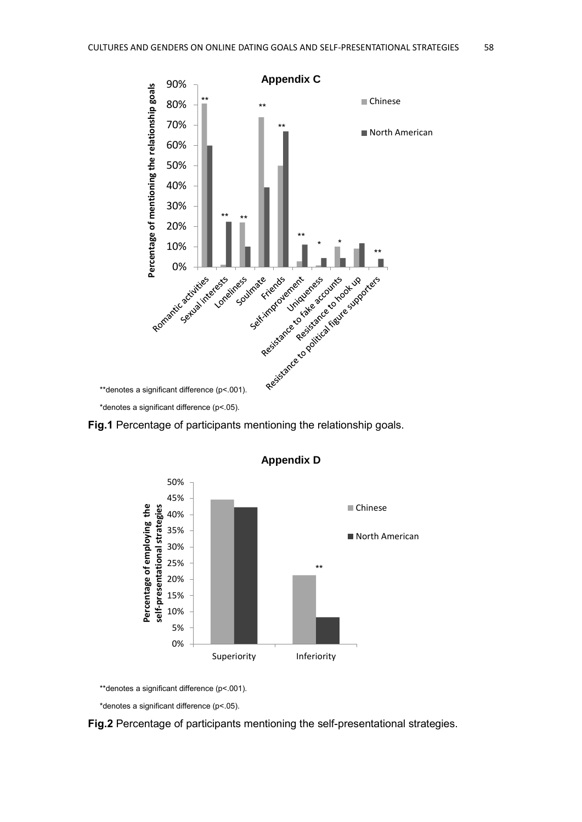

**Fig.1** Percentage of participants mentioning the relationship goals.



**Appendix D**

\*\*denotes a significant difference (p<.001).

\*denotes a significant difference (p<.05).